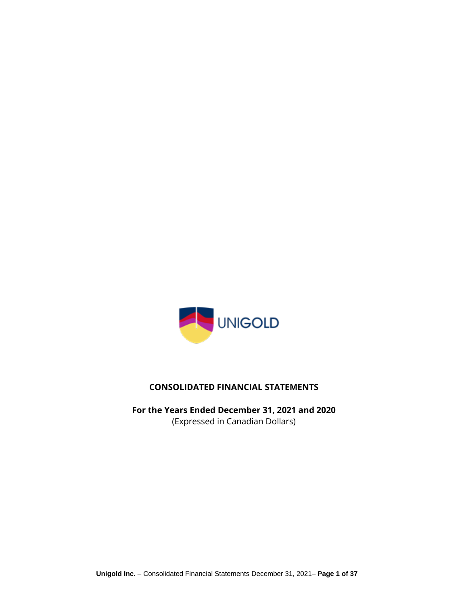

## **CONSOLIDATED FINANCIAL STATEMENTS**

**For the Years Ended December 31, 2021 and 2020** (Expressed in Canadian Dollars)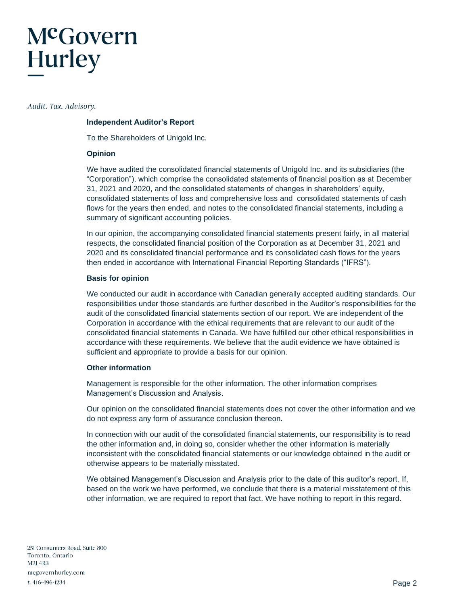## McGovern **Hurley**

Audit. Tax. Advisory.

#### **Independent Auditor's Report**

To the Shareholders of Unigold Inc.

#### **Opinion**

We have audited the consolidated financial statements of Unigold Inc. and its subsidiaries (the "Corporation"), which comprise the consolidated statements of financial position as at December 31, 2021 and 2020, and the consolidated statements of changes in shareholders' equity, consolidated statements of loss and comprehensive loss and consolidated statements of cash flows for the years then ended, and notes to the consolidated financial statements, including a summary of significant accounting policies.

In our opinion, the accompanying consolidated financial statements present fairly, in all material respects, the consolidated financial position of the Corporation as at December 31, 2021 and 2020 and its consolidated financial performance and its consolidated cash flows for the years then ended in accordance with International Financial Reporting Standards ("IFRS").

#### **Basis for opinion**

We conducted our audit in accordance with Canadian generally accepted auditing standards. Our responsibilities under those standards are further described in the Auditor's responsibilities for the audit of the consolidated financial statements section of our report. We are independent of the Corporation in accordance with the ethical requirements that are relevant to our audit of the consolidated financial statements in Canada. We have fulfilled our other ethical responsibilities in accordance with these requirements. We believe that the audit evidence we have obtained is sufficient and appropriate to provide a basis for our opinion.

#### **Other information**

Management is responsible for the other information. The other information comprises Management's Discussion and Analysis.

Our opinion on the consolidated financial statements does not cover the other information and we do not express any form of assurance conclusion thereon.

In connection with our audit of the consolidated financial statements, our responsibility is to read the other information and, in doing so, consider whether the other information is materially inconsistent with the consolidated financial statements or our knowledge obtained in the audit or otherwise appears to be materially misstated.

We obtained Management's Discussion and Analysis prior to the date of this auditor's report. If, based on the work we have performed, we conclude that there is a material misstatement of this other information, we are required to report that fact. We have nothing to report in this regard.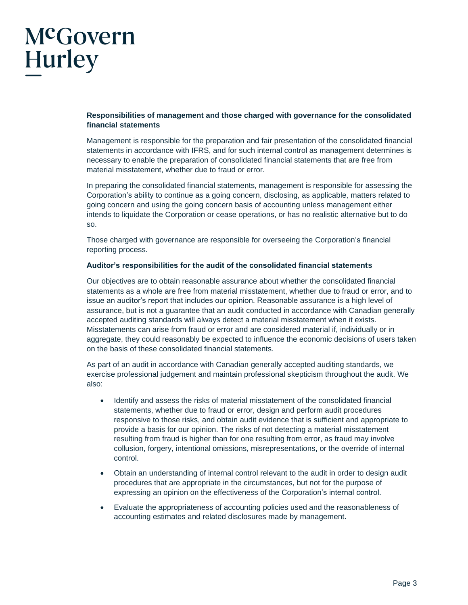# M<sup>c</sup>Govern Hurley

#### **Responsibilities of management and those charged with governance for the consolidated financial statements**

Management is responsible for the preparation and fair presentation of the consolidated financial statements in accordance with IFRS, and for such internal control as management determines is necessary to enable the preparation of consolidated financial statements that are free from material misstatement, whether due to fraud or error.

In preparing the consolidated financial statements, management is responsible for assessing the Corporation's ability to continue as a going concern, disclosing, as applicable, matters related to going concern and using the going concern basis of accounting unless management either intends to liquidate the Corporation or cease operations, or has no realistic alternative but to do so.

Those charged with governance are responsible for overseeing the Corporation's financial reporting process.

#### **Auditor's responsibilities for the audit of the consolidated financial statements**

Our objectives are to obtain reasonable assurance about whether the consolidated financial statements as a whole are free from material misstatement, whether due to fraud or error, and to issue an auditor's report that includes our opinion. Reasonable assurance is a high level of assurance, but is not a guarantee that an audit conducted in accordance with Canadian generally accepted auditing standards will always detect a material misstatement when it exists. Misstatements can arise from fraud or error and are considered material if, individually or in aggregate, they could reasonably be expected to influence the economic decisions of users taken on the basis of these consolidated financial statements.

As part of an audit in accordance with Canadian generally accepted auditing standards, we exercise professional judgement and maintain professional skepticism throughout the audit. We also:

- Identify and assess the risks of material misstatement of the consolidated financial statements, whether due to fraud or error, design and perform audit procedures responsive to those risks, and obtain audit evidence that is sufficient and appropriate to provide a basis for our opinion. The risks of not detecting a material misstatement resulting from fraud is higher than for one resulting from error, as fraud may involve collusion, forgery, intentional omissions, misrepresentations, or the override of internal control.
- Obtain an understanding of internal control relevant to the audit in order to design audit procedures that are appropriate in the circumstances, but not for the purpose of expressing an opinion on the effectiveness of the Corporation's internal control.
- Evaluate the appropriateness of accounting policies used and the reasonableness of accounting estimates and related disclosures made by management.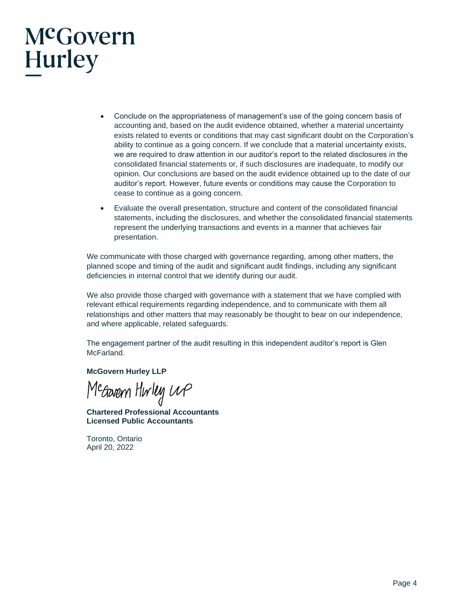## McGovern **Hurley**

- Conclude on the appropriateness of management's use of the going concern basis of accounting and, based on the audit evidence obtained, whether a material uncertainty exists related to events or conditions that may cast significant doubt on the Corporation's ability to continue as a going concern. If we conclude that a material uncertainty exists, we are required to draw attention in our auditor's report to the related disclosures in the consolidated financial statements or, if such disclosures are inadequate, to modify our opinion. Our conclusions are based on the audit evidence obtained up to the date of our auditor's report. However, future events or conditions may cause the Corporation to cease to continue as a going concern.
- Evaluate the overall presentation, structure and content of the consolidated financial statements, including the disclosures, and whether the consolidated financial statements represent the underlying transactions and events in a manner that achieves fair presentation.

We communicate with those charged with governance regarding, among other matters, the planned scope and timing of the audit and significant audit findings, including any significant deficiencies in internal control that we identify during our audit.

We also provide those charged with governance with a statement that we have complied with relevant ethical requirements regarding independence, and to communicate with them all relationships and other matters that may reasonably be thought to bear on our independence, and where applicable, related safeguards.

The engagement partner of the audit resulting in this independent auditor's report is Glen McFarland.

**McGovern Hurley LLP**

Me<sub>ctevern</sub> Hurley UP

**Chartered Professional Accountants Licensed Public Accountants**

Toronto, Ontario April 20, 2022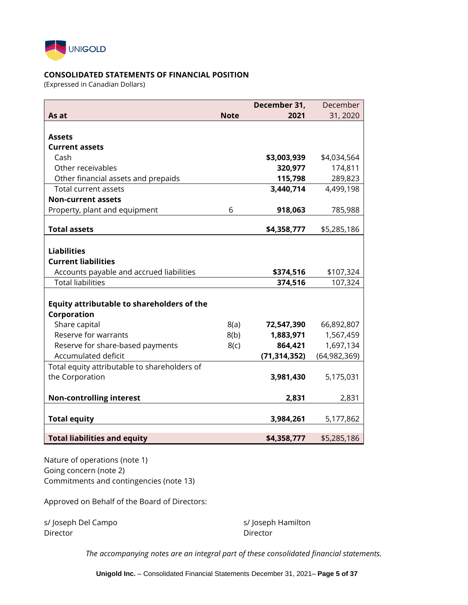

#### **CONSOLIDATED STATEMENTS OF FINANCIAL POSITION**

(Expressed in Canadian Dollars)

|                                                   |             | December 31,   | December       |
|---------------------------------------------------|-------------|----------------|----------------|
| As at                                             | <b>Note</b> | 2021           | 31, 2020       |
|                                                   |             |                |                |
| <b>Assets</b>                                     |             |                |                |
| <b>Current assets</b>                             |             |                |                |
| Cash                                              |             | \$3,003,939    | \$4,034,564    |
| Other receivables                                 |             | 320,977        | 174,811        |
| Other financial assets and prepaids               |             | 115,798        | 289,823        |
| <b>Total current assets</b>                       |             | 3,440,714      | 4,499,198      |
| <b>Non-current assets</b>                         |             |                |                |
| Property, plant and equipment                     | 6           | 918,063        | 785,988        |
|                                                   |             |                |                |
| <b>Total assets</b>                               |             | \$4,358,777    | \$5,285,186    |
|                                                   |             |                |                |
| <b>Liabilities</b>                                |             |                |                |
| <b>Current liabilities</b>                        |             |                |                |
| Accounts payable and accrued liabilities          |             | \$374,516      | \$107,324      |
| <b>Total liabilities</b>                          |             | 374,516        | 107,324        |
|                                                   |             |                |                |
| <b>Equity attributable to shareholders of the</b> |             |                |                |
| Corporation                                       |             |                |                |
| Share capital                                     | 8(a)        | 72,547,390     | 66,892,807     |
| Reserve for warrants                              | 8(b)        | 1,883,971      | 1,567,459      |
| Reserve for share-based payments                  | 8(c)        | 864,421        | 1,697,134      |
| Accumulated deficit                               |             | (71, 314, 352) | (64, 982, 369) |
| Total equity attributable to shareholders of      |             |                |                |
| the Corporation                                   |             | 3,981,430      | 5,175,031      |
|                                                   |             |                |                |
| <b>Non-controlling interest</b>                   |             | 2,831          | 2,831          |
|                                                   |             |                |                |
| <b>Total equity</b>                               |             | 3,984,261      | 5,177,862      |
|                                                   |             |                |                |
| <b>Total liabilities and equity</b>               |             | \$4,358,777    | \$5,285,186    |

Nature of operations (note 1) Going concern (note 2) Commitments and contingencies (note 13)

Approved on Behalf of the Board of Directors:

s/Joseph Del Campo s/Joseph Hamilton Director Director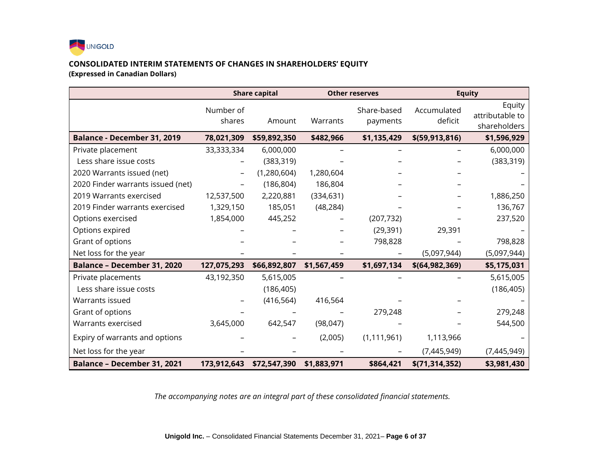

#### **CONSOLIDATED INTERIM STATEMENTS OF CHANGES IN SHAREHOLDERS' EQUITY (Expressed in Canadian Dollars)**

|                                    |                     | <b>Share capital</b> |             | <b>Other reserves</b>   |                        | <b>Equity</b>                             |
|------------------------------------|---------------------|----------------------|-------------|-------------------------|------------------------|-------------------------------------------|
|                                    | Number of<br>shares | Amount               | Warrants    | Share-based<br>payments | Accumulated<br>deficit | Equity<br>attributable to<br>shareholders |
| Balance - December 31, 2019        | 78,021,309          | \$59,892,350         | \$482,966   | \$1,135,429             | \$(59, 913, 816)       | \$1,596,929                               |
| Private placement                  | 33,333,334          | 6,000,000            |             |                         |                        | 6,000,000                                 |
| Less share issue costs             |                     | (383, 319)           |             |                         |                        | (383, 319)                                |
| 2020 Warrants issued (net)         |                     | (1, 280, 604)        | 1,280,604   |                         |                        |                                           |
| 2020 Finder warrants issued (net)  |                     | (186, 804)           | 186,804     |                         |                        |                                           |
| 2019 Warrants exercised            | 12,537,500          | 2,220,881            | (334, 631)  |                         |                        | 1,886,250                                 |
| 2019 Finder warrants exercised     | 1,329,150           | 185,051              | (48, 284)   |                         |                        | 136,767                                   |
| Options exercised                  | 1,854,000           | 445,252              |             | (207, 732)              |                        | 237,520                                   |
| Options expired                    |                     |                      |             | (29, 391)               | 29,391                 |                                           |
| Grant of options                   |                     |                      |             | 798,828                 |                        | 798,828                                   |
| Net loss for the year              |                     |                      |             |                         | (5,097,944)            | (5,097,944)                               |
| <b>Balance - December 31, 2020</b> | 127,075,293         | \$66,892,807         | \$1,567,459 | \$1,697,134             | \$(64, 982, 369)       | \$5,175,031                               |
| Private placements                 | 43,192,350          | 5,615,005            |             |                         |                        | 5,615,005                                 |
| Less share issue costs             |                     | (186, 405)           |             |                         |                        | (186, 405)                                |
| Warrants issued                    |                     | (416, 564)           | 416,564     |                         |                        |                                           |
| Grant of options                   |                     |                      |             | 279,248                 |                        | 279,248                                   |
| Warrants exercised                 | 3,645,000           | 642,547              | (98, 047)   |                         |                        | 544,500                                   |
| Expiry of warrants and options     |                     |                      | (2,005)     | (1, 111, 961)           | 1,113,966              |                                           |
| Net loss for the year              |                     |                      |             |                         | (7,445,949)            | (7,445,949)                               |
| <b>Balance - December 31, 2021</b> | 173,912,643         | \$72,547,390         | \$1,883,971 | \$864,421               | \$(71, 314, 352)       | \$3,981,430                               |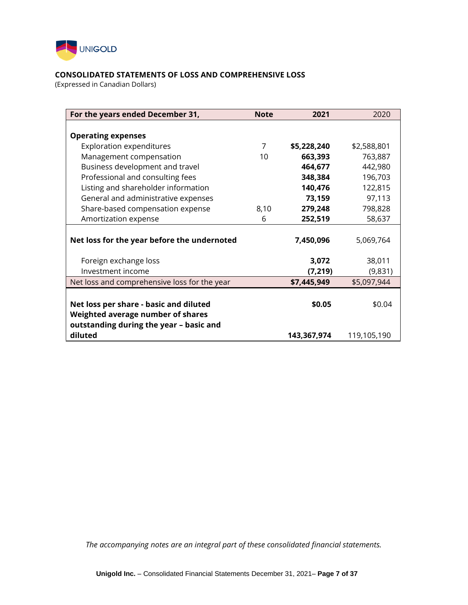

#### **CONSOLIDATED STATEMENTS OF LOSS AND COMPREHENSIVE LOSS**

(Expressed in Canadian Dollars)

| For the years ended December 31,             | <b>Note</b> | 2021        | 2020        |
|----------------------------------------------|-------------|-------------|-------------|
|                                              |             |             |             |
| <b>Operating expenses</b>                    |             |             |             |
| <b>Exploration expenditures</b>              | 7           | \$5,228,240 | \$2,588,801 |
| Management compensation                      | 10          | 663,393     | 763,887     |
| Business development and travel              |             | 464,677     | 442,980     |
| Professional and consulting fees             |             | 348,384     | 196,703     |
| Listing and shareholder information          |             | 140,476     | 122,815     |
| General and administrative expenses          |             | 73,159      | 97,113      |
| Share-based compensation expense             | 8,10        | 279,248     | 798,828     |
| Amortization expense                         | 6           | 252,519     | 58,637      |
|                                              |             |             |             |
| Net loss for the year before the undernoted  |             | 7,450,096   | 5,069,764   |
|                                              |             |             |             |
| Foreign exchange loss                        |             | 3,072       | 38,011      |
| Investment income                            |             | (7, 219)    | (9,831)     |
| Net loss and comprehensive loss for the year |             | \$7,445,949 | \$5,097,944 |
|                                              |             |             |             |
| Net loss per share - basic and diluted       |             | \$0.05      | \$0.04      |
| Weighted average number of shares            |             |             |             |
| outstanding during the year - basic and      |             |             |             |
| diluted                                      |             | 143,367,974 | 119,105,190 |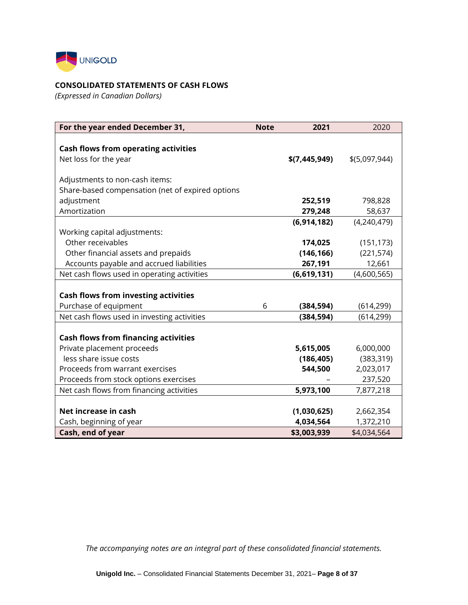

## **CONSOLIDATED STATEMENTS OF CASH FLOWS**

*(Expressed in Canadian Dollars)* 

| For the year ended December 31,                  | <b>Note</b> | 2021            | 2020          |
|--------------------------------------------------|-------------|-----------------|---------------|
|                                                  |             |                 |               |
| <b>Cash flows from operating activities</b>      |             |                 |               |
| Net loss for the year                            |             | \$(7, 445, 949) | \$(5,097,944) |
|                                                  |             |                 |               |
| Adjustments to non-cash items:                   |             |                 |               |
| Share-based compensation (net of expired options |             |                 |               |
| adjustment                                       |             | 252,519         | 798,828       |
| Amortization                                     |             | 279,248         | 58,637        |
|                                                  |             | (6,914,182)     | (4,240,479)   |
| Working capital adjustments:                     |             |                 |               |
| Other receivables                                |             | 174,025         | (151, 173)    |
| Other financial assets and prepaids              |             | (146, 166)      | (221, 574)    |
| Accounts payable and accrued liabilities         |             | 267,191         | 12,661        |
| Net cash flows used in operating activities      |             | (6,619,131)     | (4,600,565)   |
|                                                  |             |                 |               |
| <b>Cash flows from investing activities</b>      |             |                 |               |
| Purchase of equipment                            | 6           | (384, 594)      | (614, 299)    |
| Net cash flows used in investing activities      |             | (384, 594)      | (614, 299)    |
|                                                  |             |                 |               |
| <b>Cash flows from financing activities</b>      |             |                 |               |
| Private placement proceeds                       |             | 5,615,005       | 6,000,000     |
| less share issue costs                           |             | (186, 405)      | (383, 319)    |
| Proceeds from warrant exercises                  |             | 544,500         | 2,023,017     |
| Proceeds from stock options exercises            |             |                 | 237,520       |
| Net cash flows from financing activities         |             | 5,973,100       | 7,877,218     |
|                                                  |             |                 |               |
| Net increase in cash                             |             | (1,030,625)     | 2,662,354     |
| Cash, beginning of year                          |             | 4,034,564       | 1,372,210     |
| Cash, end of year                                |             | \$3,003,939     | \$4,034,564   |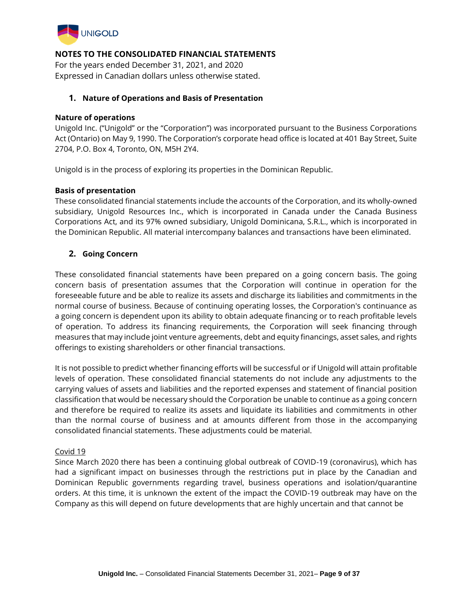

For the years ended December 31, 2021, and 2020 Expressed in Canadian dollars unless otherwise stated.

#### **1. Nature of Operations and Basis of Presentation**

#### **Nature of operations**

Unigold Inc. ("Unigold" or the "Corporation") was incorporated pursuant to the Business Corporations Act (Ontario) on May 9, 1990. The Corporation's corporate head office is located at 401 Bay Street, Suite 2704, P.O. Box 4, Toronto, ON, M5H 2Y4.

Unigold is in the process of exploring its properties in the Dominican Republic.

#### **Basis of presentation**

These consolidated financial statements include the accounts of the Corporation, and its wholly-owned subsidiary, Unigold Resources Inc., which is incorporated in Canada under the Canada Business Corporations Act, and its 97% owned subsidiary, Unigold Dominicana, S.R.L., which is incorporated in the Dominican Republic. All material intercompany balances and transactions have been eliminated.

## **2. Going Concern**

These consolidated financial statements have been prepared on a going concern basis. The going concern basis of presentation assumes that the Corporation will continue in operation for the foreseeable future and be able to realize its assets and discharge its liabilities and commitments in the normal course of business. Because of continuing operating losses, the Corporation's continuance as a going concern is dependent upon its ability to obtain adequate financing or to reach profitable levels of operation. To address its financing requirements, the Corporation will seek financing through measures that may include joint venture agreements, debt and equity financings, asset sales, and rights offerings to existing shareholders or other financial transactions.

It is not possible to predict whether financing efforts will be successful or if Unigold will attain profitable levels of operation. These consolidated financial statements do not include any adjustments to the carrying values of assets and liabilities and the reported expenses and statement of financial position classification that would be necessary should the Corporation be unable to continue as a going concern and therefore be required to realize its assets and liquidate its liabilities and commitments in other than the normal course of business and at amounts different from those in the accompanying consolidated financial statements. These adjustments could be material.

#### Covid 19

Since March 2020 there has been a continuing global outbreak of COVID-19 (coronavirus), which has had a significant impact on businesses through the restrictions put in place by the Canadian and Dominican Republic governments regarding travel, business operations and isolation/quarantine orders. At this time, it is unknown the extent of the impact the COVID-19 outbreak may have on the Company as this will depend on future developments that are highly uncertain and that cannot be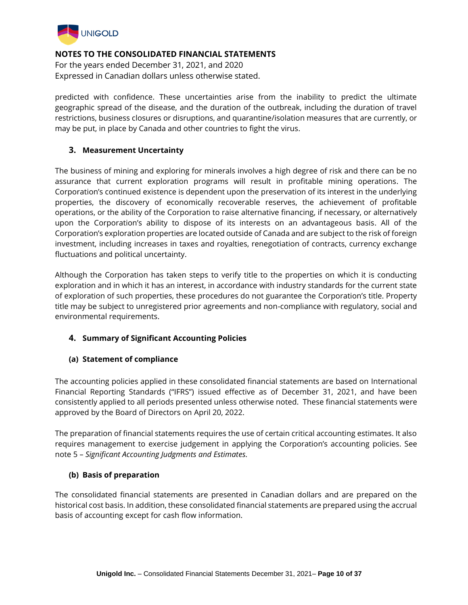

For the years ended December 31, 2021, and 2020 Expressed in Canadian dollars unless otherwise stated.

predicted with confidence. These uncertainties arise from the inability to predict the ultimate geographic spread of the disease, and the duration of the outbreak, including the duration of travel restrictions, business closures or disruptions, and quarantine/isolation measures that are currently, or may be put, in place by Canada and other countries to fight the virus.

## **3. Measurement Uncertainty**

The business of mining and exploring for minerals involves a high degree of risk and there can be no assurance that current exploration programs will result in profitable mining operations. The Corporation's continued existence is dependent upon the preservation of its interest in the underlying properties, the discovery of economically recoverable reserves, the achievement of profitable operations, or the ability of the Corporation to raise alternative financing, if necessary, or alternatively upon the Corporation's ability to dispose of its interests on an advantageous basis. All of the Corporation's exploration properties are located outside of Canada and are subject to the risk of foreign investment, including increases in taxes and royalties, renegotiation of contracts, currency exchange fluctuations and political uncertainty.

Although the Corporation has taken steps to verify title to the properties on which it is conducting exploration and in which it has an interest, in accordance with industry standards for the current state of exploration of such properties, these procedures do not guarantee the Corporation's title. Property title may be subject to unregistered prior agreements and non-compliance with regulatory, social and environmental requirements.

## **4. Summary of Significant Accounting Policies**

## **(a) Statement of compliance**

The accounting policies applied in these consolidated financial statements are based on International Financial Reporting Standards ("IFRS") issued effective as of December 31, 2021, and have been consistently applied to all periods presented unless otherwise noted. These financial statements were approved by the Board of Directors on April 20, 2022.

The preparation of financial statements requires the use of certain critical accounting estimates. It also requires management to exercise judgement in applying the Corporation's accounting policies. See note 5 – *Significant Accounting Judgments and Estimates.*

## **(b) Basis of preparation**

The consolidated financial statements are presented in Canadian dollars and are prepared on the historical cost basis. In addition, these consolidated financial statements are prepared using the accrual basis of accounting except for cash flow information.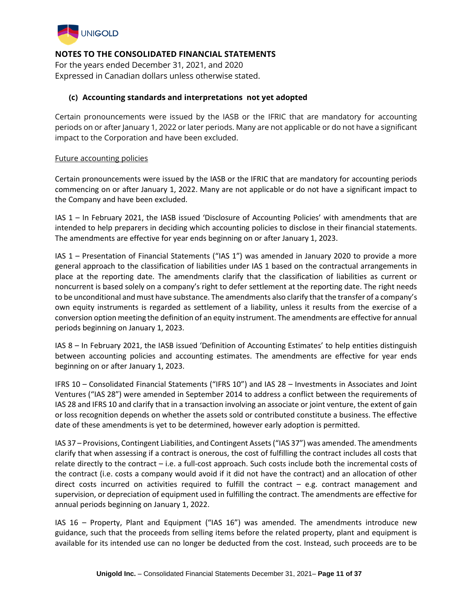

For the years ended December 31, 2021, and 2020 Expressed in Canadian dollars unless otherwise stated.

#### **(c) Accounting standards and interpretations not yet adopted**

Certain pronouncements were issued by the IASB or the IFRIC that are mandatory for accounting periods on or after January 1, 2022 or later periods. Many are not applicable or do not have a significant impact to the Corporation and have been excluded.

#### Future accounting policies

Certain pronouncements were issued by the IASB or the IFRIC that are mandatory for accounting periods commencing on or after January 1, 2022. Many are not applicable or do not have a significant impact to the Company and have been excluded.

IAS 1 – In February 2021, the IASB issued 'Disclosure of Accounting Policies' with amendments that are intended to help preparers in deciding which accounting policies to disclose in their financial statements. The amendments are effective for year ends beginning on or after January 1, 2023.

IAS 1 – Presentation of Financial Statements ("IAS 1") was amended in January 2020 to provide a more general approach to the classification of liabilities under IAS 1 based on the contractual arrangements in place at the reporting date. The amendments clarify that the classification of liabilities as current or noncurrent is based solely on a company's right to defer settlement at the reporting date. The right needs to be unconditional and must have substance. The amendments also clarify that the transfer of a company's own equity instruments is regarded as settlement of a liability, unless it results from the exercise of a conversion option meeting the definition of an equity instrument. The amendments are effective for annual periods beginning on January 1, 2023.

IAS 8 – In February 2021, the IASB issued 'Definition of Accounting Estimates' to help entities distinguish between accounting policies and accounting estimates. The amendments are effective for year ends beginning on or after January 1, 2023.

IFRS 10 – Consolidated Financial Statements ("IFRS 10") and IAS 28 – Investments in Associates and Joint Ventures ("IAS 28") were amended in September 2014 to address a conflict between the requirements of IAS 28 and IFRS 10 and clarify that in a transaction involving an associate or joint venture, the extent of gain or loss recognition depends on whether the assets sold or contributed constitute a business. The effective date of these amendments is yet to be determined, however early adoption is permitted.

IAS 37 – Provisions, Contingent Liabilities, and Contingent Assets ("IAS 37") was amended. The amendments clarify that when assessing if a contract is onerous, the cost of fulfilling the contract includes all costs that relate directly to the contract – i.e. a full-cost approach. Such costs include both the incremental costs of the contract (i.e. costs a company would avoid if it did not have the contract) and an allocation of other direct costs incurred on activities required to fulfill the contract – e.g. contract management and supervision, or depreciation of equipment used in fulfilling the contract. The amendments are effective for annual periods beginning on January 1, 2022.

IAS 16 – Property, Plant and Equipment ("IAS 16") was amended. The amendments introduce new guidance, such that the proceeds from selling items before the related property, plant and equipment is available for its intended use can no longer be deducted from the cost. Instead, such proceeds are to be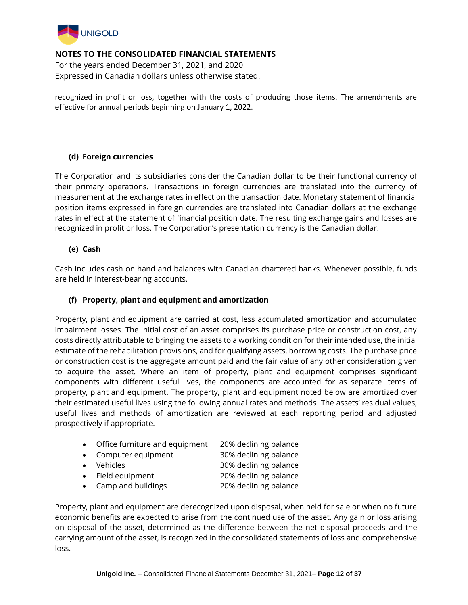

For the years ended December 31, 2021, and 2020 Expressed in Canadian dollars unless otherwise stated.

recognized in profit or loss, together with the costs of producing those items. The amendments are effective for annual periods beginning on January 1, 2022.

#### **(d) Foreign currencies**

The Corporation and its subsidiaries consider the Canadian dollar to be their functional currency of their primary operations. Transactions in foreign currencies are translated into the currency of measurement at the exchange rates in effect on the transaction date. Monetary statement of financial position items expressed in foreign currencies are translated into Canadian dollars at the exchange rates in effect at the statement of financial position date. The resulting exchange gains and losses are recognized in profit or loss. The Corporation's presentation currency is the Canadian dollar.

#### **(e) Cash**

Cash includes cash on hand and balances with Canadian chartered banks. Whenever possible, funds are held in interest-bearing accounts.

#### **(f) Property, plant and equipment and amortization**

Property, plant and equipment are carried at cost, less accumulated amortization and accumulated impairment losses. The initial cost of an asset comprises its purchase price or construction cost, any costs directly attributable to bringing the assets to a working condition for their intended use, the initial estimate of the rehabilitation provisions, and for qualifying assets, borrowing costs. The purchase price or construction cost is the aggregate amount paid and the fair value of any other consideration given to acquire the asset. Where an item of property, plant and equipment comprises significant components with different useful lives, the components are accounted for as separate items of property, plant and equipment. The property, plant and equipment noted below are amortized over their estimated useful lives using the following annual rates and methods. The assets' residual values, useful lives and methods of amortization are reviewed at each reporting period and adjusted prospectively if appropriate.

- Office furniture and equipment 20% declining balance
- Computer equipment 30% declining balance
- Vehicles 30% declining balance
	- -
- Camp and buildings 20% declining balance

• Field equipment 20% declining balance

Property, plant and equipment are derecognized upon disposal, when held for sale or when no future economic benefits are expected to arise from the continued use of the asset. Any gain or loss arising on disposal of the asset, determined as the difference between the net disposal proceeds and the carrying amount of the asset, is recognized in the consolidated statements of loss and comprehensive loss.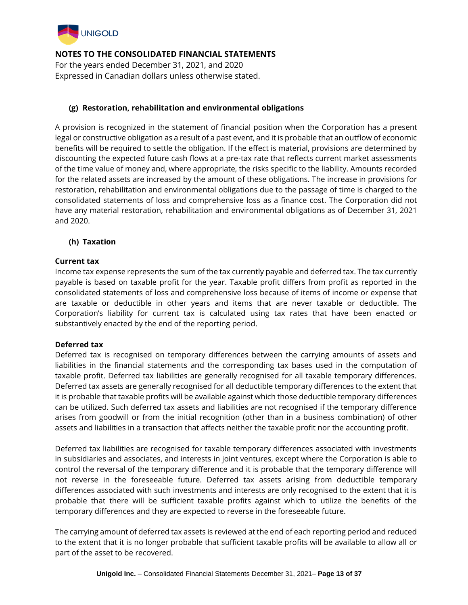

For the years ended December 31, 2021, and 2020 Expressed in Canadian dollars unless otherwise stated.

#### **(g) Restoration, rehabilitation and environmental obligations**

A provision is recognized in the statement of financial position when the Corporation has a present legal or constructive obligation as a result of a past event, and it is probable that an outflow of economic benefits will be required to settle the obligation. If the effect is material, provisions are determined by discounting the expected future cash flows at a pre-tax rate that reflects current market assessments of the time value of money and, where appropriate, the risks specific to the liability. Amounts recorded for the related assets are increased by the amount of these obligations. The increase in provisions for restoration, rehabilitation and environmental obligations due to the passage of time is charged to the consolidated statements of loss and comprehensive loss as a finance cost. The Corporation did not have any material restoration, rehabilitation and environmental obligations as of December 31, 2021 and 2020.

#### **(h) Taxation**

#### **Current tax**

Income tax expense represents the sum of the tax currently payable and deferred tax. The tax currently payable is based on taxable profit for the year. Taxable profit differs from profit as reported in the consolidated statements of loss and comprehensive loss because of items of income or expense that are taxable or deductible in other years and items that are never taxable or deductible. The Corporation's liability for current tax is calculated using tax rates that have been enacted or substantively enacted by the end of the reporting period.

#### **Deferred tax**

Deferred tax is recognised on temporary differences between the carrying amounts of assets and liabilities in the financial statements and the corresponding tax bases used in the computation of taxable profit. Deferred tax liabilities are generally recognised for all taxable temporary differences. Deferred tax assets are generally recognised for all deductible temporary differences to the extent that it is probable that taxable profits will be available against which those deductible temporary differences can be utilized. Such deferred tax assets and liabilities are not recognised if the temporary difference arises from goodwill or from the initial recognition (other than in a business combination) of other assets and liabilities in a transaction that affects neither the taxable profit nor the accounting profit.

Deferred tax liabilities are recognised for taxable temporary differences associated with investments in subsidiaries and associates, and interests in joint ventures, except where the Corporation is able to control the reversal of the temporary difference and it is probable that the temporary difference will not reverse in the foreseeable future. Deferred tax assets arising from deductible temporary differences associated with such investments and interests are only recognised to the extent that it is probable that there will be sufficient taxable profits against which to utilize the benefits of the temporary differences and they are expected to reverse in the foreseeable future.

The carrying amount of deferred tax assets is reviewed at the end of each reporting period and reduced to the extent that it is no longer probable that sufficient taxable profits will be available to allow all or part of the asset to be recovered.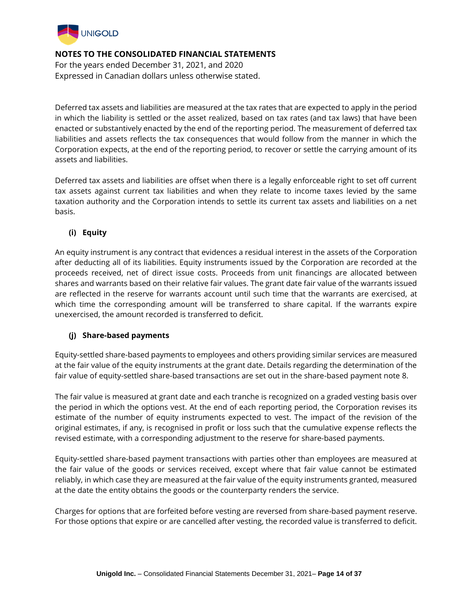

For the years ended December 31, 2021, and 2020 Expressed in Canadian dollars unless otherwise stated.

Deferred tax assets and liabilities are measured at the tax rates that are expected to apply in the period in which the liability is settled or the asset realized, based on tax rates (and tax laws) that have been enacted or substantively enacted by the end of the reporting period. The measurement of deferred tax liabilities and assets reflects the tax consequences that would follow from the manner in which the Corporation expects, at the end of the reporting period, to recover or settle the carrying amount of its assets and liabilities.

Deferred tax assets and liabilities are offset when there is a legally enforceable right to set off current tax assets against current tax liabilities and when they relate to income taxes levied by the same taxation authority and the Corporation intends to settle its current tax assets and liabilities on a net basis.

## **(i) Equity**

An equity instrument is any contract that evidences a residual interest in the assets of the Corporation after deducting all of its liabilities. Equity instruments issued by the Corporation are recorded at the proceeds received, net of direct issue costs. Proceeds from unit financings are allocated between shares and warrants based on their relative fair values. The grant date fair value of the warrants issued are reflected in the reserve for warrants account until such time that the warrants are exercised, at which time the corresponding amount will be transferred to share capital. If the warrants expire unexercised, the amount recorded is transferred to deficit.

## **(j) Share-based payments**

Equity-settled share-based payments to employees and others providing similar services are measured at the fair value of the equity instruments at the grant date. Details regarding the determination of the fair value of equity-settled share-based transactions are set out in the share-based payment note 8.

The fair value is measured at grant date and each tranche is recognized on a graded vesting basis over the period in which the options vest. At the end of each reporting period, the Corporation revises its estimate of the number of equity instruments expected to vest. The impact of the revision of the original estimates, if any, is recognised in profit or loss such that the cumulative expense reflects the revised estimate, with a corresponding adjustment to the reserve for share-based payments.

Equity-settled share-based payment transactions with parties other than employees are measured at the fair value of the goods or services received, except where that fair value cannot be estimated reliably, in which case they are measured at the fair value of the equity instruments granted, measured at the date the entity obtains the goods or the counterparty renders the service.

Charges for options that are forfeited before vesting are reversed from share-based payment reserve. For those options that expire or are cancelled after vesting, the recorded value is transferred to deficit.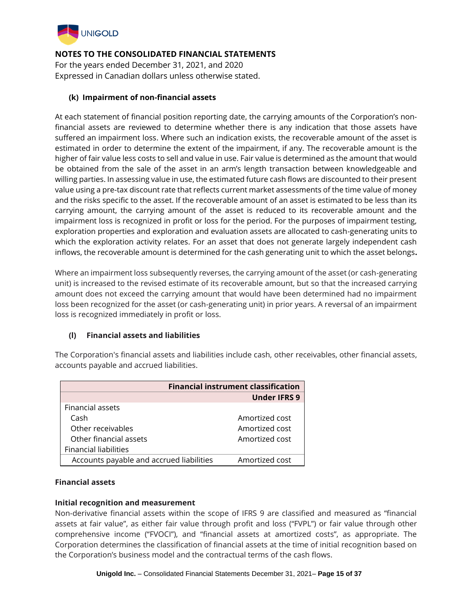

For the years ended December 31, 2021, and 2020 Expressed in Canadian dollars unless otherwise stated.

## **(k) Impairment of non-financial assets**

At each statement of financial position reporting date, the carrying amounts of the Corporation's nonfinancial assets are reviewed to determine whether there is any indication that those assets have suffered an impairment loss. Where such an indication exists, the recoverable amount of the asset is estimated in order to determine the extent of the impairment, if any. The recoverable amount is the higher of fair value less costs to sell and value in use. Fair value is determined as the amount that would be obtained from the sale of the asset in an arm's length transaction between knowledgeable and willing parties. In assessing value in use, the estimated future cash flows are discounted to their present value using a pre-tax discount rate that reflects current market assessments of the time value of money and the risks specific to the asset. If the recoverable amount of an asset is estimated to be less than its carrying amount, the carrying amount of the asset is reduced to its recoverable amount and the impairment loss is recognized in profit or loss for the period. For the purposes of impairment testing, exploration properties and exploration and evaluation assets are allocated to cash-generating units to which the exploration activity relates. For an asset that does not generate largely independent cash inflows, the recoverable amount is determined for the cash generating unit to which the asset belongs**.**

Where an impairment loss subsequently reverses, the carrying amount of the asset (or cash-generating unit) is increased to the revised estimate of its recoverable amount, but so that the increased carrying amount does not exceed the carrying amount that would have been determined had no impairment loss been recognized for the asset (or cash-generating unit) in prior years. A reversal of an impairment loss is recognized immediately in profit or loss.

## **(l) Financial assets and liabilities**

The Corporation's financial assets and liabilities include cash, other receivables, other financial assets, accounts payable and accrued liabilities.

|                                          | <b>Financial instrument classification</b> |
|------------------------------------------|--------------------------------------------|
|                                          | <b>Under IFRS 9</b>                        |
| Financial assets                         |                                            |
| Cash                                     | Amortized cost                             |
| Other receivables                        | Amortized cost                             |
| Other financial assets                   | Amortized cost                             |
| Financial liabilities                    |                                            |
| Accounts payable and accrued liabilities | Amortized cost                             |

#### **Financial assets**

#### **Initial recognition and measurement**

Non-derivative financial assets within the scope of IFRS 9 are classified and measured as "financial assets at fair value", as either fair value through profit and loss ("FVPL") or fair value through other comprehensive income ("FVOCI"), and "financial assets at amortized costs", as appropriate. The Corporation determines the classification of financial assets at the time of initial recognition based on the Corporation's business model and the contractual terms of the cash flows.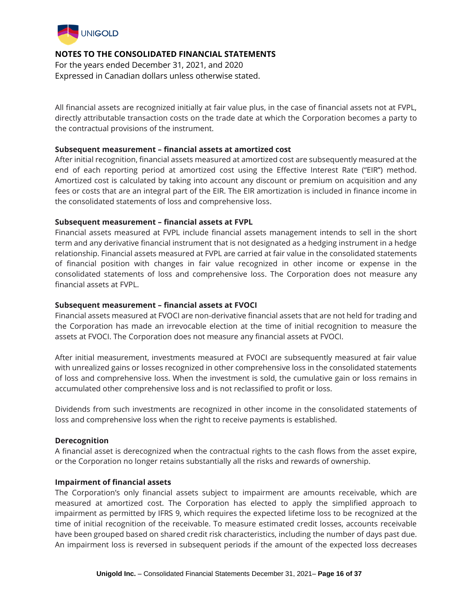

For the years ended December 31, 2021, and 2020 Expressed in Canadian dollars unless otherwise stated.

All financial assets are recognized initially at fair value plus, in the case of financial assets not at FVPL, directly attributable transaction costs on the trade date at which the Corporation becomes a party to the contractual provisions of the instrument.

#### **Subsequent measurement – financial assets at amortized cost**

After initial recognition, financial assets measured at amortized cost are subsequently measured at the end of each reporting period at amortized cost using the Effective Interest Rate ("EIR") method. Amortized cost is calculated by taking into account any discount or premium on acquisition and any fees or costs that are an integral part of the EIR. The EIR amortization is included in finance income in the consolidated statements of loss and comprehensive loss.

#### **Subsequent measurement – financial assets at FVPL**

Financial assets measured at FVPL include financial assets management intends to sell in the short term and any derivative financial instrument that is not designated as a hedging instrument in a hedge relationship. Financial assets measured at FVPL are carried at fair value in the consolidated statements of financial position with changes in fair value recognized in other income or expense in the consolidated statements of loss and comprehensive loss. The Corporation does not measure any financial assets at FVPL.

#### **Subsequent measurement – financial assets at FVOCI**

Financial assets measured at FVOCI are non-derivative financial assets that are not held for trading and the Corporation has made an irrevocable election at the time of initial recognition to measure the assets at FVOCI. The Corporation does not measure any financial assets at FVOCI.

After initial measurement, investments measured at FVOCI are subsequently measured at fair value with unrealized gains or losses recognized in other comprehensive loss in the consolidated statements of loss and comprehensive loss. When the investment is sold, the cumulative gain or loss remains in accumulated other comprehensive loss and is not reclassified to profit or loss.

Dividends from such investments are recognized in other income in the consolidated statements of loss and comprehensive loss when the right to receive payments is established.

#### **Derecognition**

A financial asset is derecognized when the contractual rights to the cash flows from the asset expire, or the Corporation no longer retains substantially all the risks and rewards of ownership.

#### **Impairment of financial assets**

The Corporation's only financial assets subject to impairment are amounts receivable, which are measured at amortized cost. The Corporation has elected to apply the simplified approach to impairment as permitted by IFRS 9, which requires the expected lifetime loss to be recognized at the time of initial recognition of the receivable. To measure estimated credit losses, accounts receivable have been grouped based on shared credit risk characteristics, including the number of days past due. An impairment loss is reversed in subsequent periods if the amount of the expected loss decreases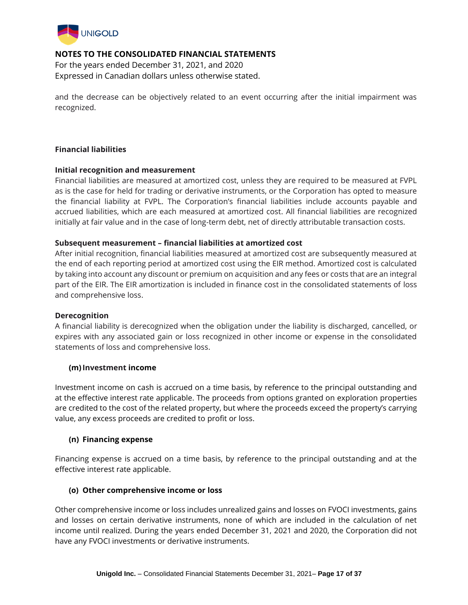

For the years ended December 31, 2021, and 2020 Expressed in Canadian dollars unless otherwise stated.

and the decrease can be objectively related to an event occurring after the initial impairment was recognized.

#### **Financial liabilities**

#### **Initial recognition and measurement**

Financial liabilities are measured at amortized cost, unless they are required to be measured at FVPL as is the case for held for trading or derivative instruments, or the Corporation has opted to measure the financial liability at FVPL. The Corporation's financial liabilities include accounts payable and accrued liabilities, which are each measured at amortized cost. All financial liabilities are recognized initially at fair value and in the case of long-term debt, net of directly attributable transaction costs.

#### **Subsequent measurement – financial liabilities at amortized cost**

After initial recognition, financial liabilities measured at amortized cost are subsequently measured at the end of each reporting period at amortized cost using the EIR method. Amortized cost is calculated by taking into account any discount or premium on acquisition and any fees or costs that are an integral part of the EIR. The EIR amortization is included in finance cost in the consolidated statements of loss and comprehensive loss.

#### **Derecognition**

A financial liability is derecognized when the obligation under the liability is discharged, cancelled, or expires with any associated gain or loss recognized in other income or expense in the consolidated statements of loss and comprehensive loss.

#### **(m)Investment income**

Investment income on cash is accrued on a time basis, by reference to the principal outstanding and at the effective interest rate applicable. The proceeds from options granted on exploration properties are credited to the cost of the related property, but where the proceeds exceed the property's carrying value, any excess proceeds are credited to profit or loss.

#### **(n) Financing expense**

Financing expense is accrued on a time basis, by reference to the principal outstanding and at the effective interest rate applicable.

#### **(o) Other comprehensive income or loss**

Other comprehensive income or loss includes unrealized gains and losses on FVOCI investments, gains and losses on certain derivative instruments, none of which are included in the calculation of net income until realized. During the years ended December 31, 2021 and 2020, the Corporation did not have any FVOCI investments or derivative instruments.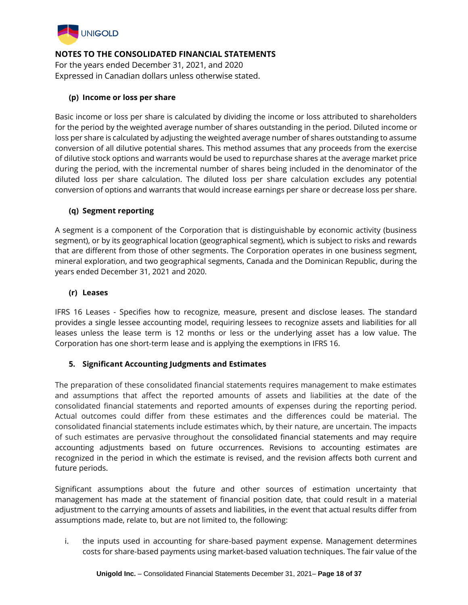

For the years ended December 31, 2021, and 2020 Expressed in Canadian dollars unless otherwise stated.

#### **(p) Income or loss per share**

Basic income or loss per share is calculated by dividing the income or loss attributed to shareholders for the period by the weighted average number of shares outstanding in the period. Diluted income or loss per share is calculated by adjusting the weighted average number of shares outstanding to assume conversion of all dilutive potential shares. This method assumes that any proceeds from the exercise of dilutive stock options and warrants would be used to repurchase shares at the average market price during the period, with the incremental number of shares being included in the denominator of the diluted loss per share calculation. The diluted loss per share calculation excludes any potential conversion of options and warrants that would increase earnings per share or decrease loss per share.

## **(q) Segment reporting**

A segment is a component of the Corporation that is distinguishable by economic activity (business segment), or by its geographical location (geographical segment), which is subject to risks and rewards that are different from those of other segments. The Corporation operates in one business segment, mineral exploration, and two geographical segments, Canada and the Dominican Republic, during the years ended December 31, 2021 and 2020.

#### **(r) Leases**

IFRS 16 Leases - Specifies how to recognize, measure, present and disclose leases. The standard provides a single lessee accounting model, requiring lessees to recognize assets and liabilities for all leases unless the lease term is 12 months or less or the underlying asset has a low value. The Corporation has one short-term lease and is applying the exemptions in IFRS 16.

## **5. Significant Accounting Judgments and Estimates**

The preparation of these consolidated financial statements requires management to make estimates and assumptions that affect the reported amounts of assets and liabilities at the date of the consolidated financial statements and reported amounts of expenses during the reporting period. Actual outcomes could differ from these estimates and the differences could be material. The consolidated financial statements include estimates which, by their nature, are uncertain. The impacts of such estimates are pervasive throughout the consolidated financial statements and may require accounting adjustments based on future occurrences. Revisions to accounting estimates are recognized in the period in which the estimate is revised, and the revision affects both current and future periods.

Significant assumptions about the future and other sources of estimation uncertainty that management has made at the statement of financial position date, that could result in a material adjustment to the carrying amounts of assets and liabilities, in the event that actual results differ from assumptions made, relate to, but are not limited to, the following:

i. the inputs used in accounting for share-based payment expense. Management determines costs for share-based payments using market-based valuation techniques. The fair value of the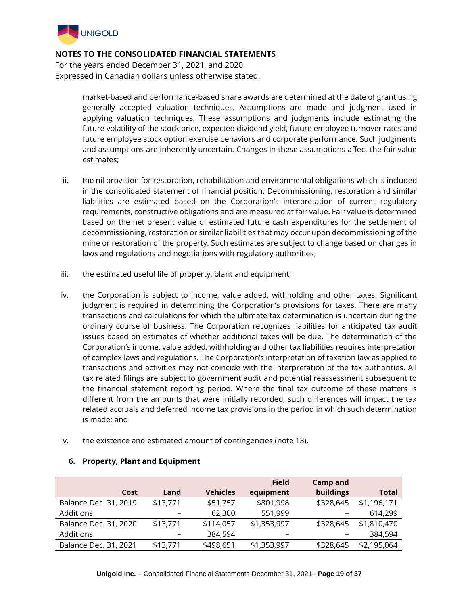

For the years ended December 31, 2021, and 2020 Expressed in Canadian dollars unless otherwise stated.

> market-based and performance-based share awards are determined at the date of grant using generally accepted valuation techniques. Assumptions are made and judgment used in applying valuation techniques. These assumptions and judgments include estimating the future volatility of the stock price, expected dividend yield, future employee turnover rates and future employee stock option exercise behaviors and corporate performance. Such judgments and assumptions are inherently uncertain. Changes in these assumptions affect the fair value estimates;

- ii. the nil provision for restoration, rehabilitation and environmental obligations which is included in the consolidated statement of financial position. Decommissioning, restoration and similar liabilities are estimated based on the Corporation's interpretation of current regulatory requirements, constructive obligations and are measured at fair value. Fair value is determined based on the net present value of estimated future cash expenditures for the settlement of decommissioning, restoration or similar liabilities that may occur upon decommissioning of the mine or restoration of the property. Such estimates are subject to change based on changes in laws and regulations and negotiations with regulatory authorities;
- iii. the estimated useful life of property, plant and equipment;
- iv. the Corporation is subject to income, value added, withholding and other taxes. Significant judgment is required in determining the Corporation's provisions for taxes. There are many transactions and calculations for which the ultimate tax determination is uncertain during the ordinary course of business. The Corporation recognizes liabilities for anticipated tax audit issues based on estimates of whether additional taxes will be due. The determination of the Corporation's income, value added, withholding and other tax liabilities requires interpretation of complex laws and regulations. The Corporation's interpretation of taxation law as applied to transactions and activities may not coincide with the interpretation of the tax authorities. All tax related filings are subject to government audit and potential reassessment subsequent to the financial statement reporting period. Where the final tax outcome of these matters is different from the amounts that were initially recorded, such differences will impact the tax related accruals and deferred income tax provisions in the period in which such determination is made; and
- v. the existence and estimated amount of contingencies (note 13).

|                       |          |                 | <b>Field</b> | <b>Camp and</b> |              |
|-----------------------|----------|-----------------|--------------|-----------------|--------------|
| Cost                  | Land     | <b>Vehicles</b> | equipment    | buildings       | <b>Total</b> |
| Balance Dec. 31, 2019 | \$13,771 | \$51,757        | \$801,998    | \$328,645       | \$1,196,171  |
| <b>Additions</b>      |          | 62,300          | 551,999      |                 | 614,299      |
| Balance Dec. 31, 2020 | \$13,771 | \$114,057       | \$1,353,997  | \$328,645       | \$1,810,470  |
| Additions             | -        | 384,594         |              |                 | 384,594      |
| Balance Dec. 31, 2021 | \$13,771 | \$498,651       | \$1,353,997  | \$328,645       | \$2,195,064  |

#### **6. Property, Plant and Equipment**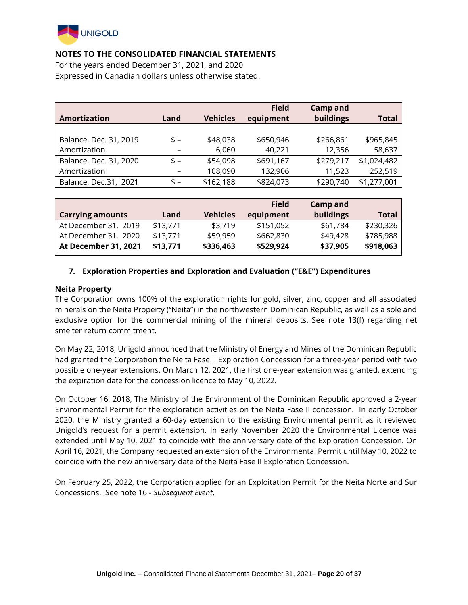

For the years ended December 31, 2021, and 2020 Expressed in Canadian dollars unless otherwise stated.

| Amortization           | Land  | <b>Vehicles</b> | <b>Field</b><br>equipment | <b>Camp and</b><br>buildings | Total       |
|------------------------|-------|-----------------|---------------------------|------------------------------|-------------|
|                        |       |                 |                           |                              |             |
| Balance, Dec. 31, 2019 | $$ -$ | \$48,038        | \$650,946                 | \$266,861                    | \$965,845   |
| Amortization           |       | 6,060           | 40,221                    | 12,356                       | 58,637      |
| Balance, Dec. 31, 2020 | \$-   | \$54,098        | \$691,167                 | \$279,217                    | \$1,024,482 |
| Amortization           |       | 108,090         | 132,906                   | 11,523                       | 252,519     |
| Balance, Dec.31, 2021  | \$-   | \$162,188       | \$824,073                 | \$290,740                    | \$1,277,001 |

|                         |          |                 | <b>Field</b> | <b>Camp and</b> |           |
|-------------------------|----------|-----------------|--------------|-----------------|-----------|
| <b>Carrying amounts</b> | Land     | <b>Vehicles</b> | equipment    | buildings       | Total     |
| At December 31, 2019    | \$13,771 | \$3,719         | \$151,052    | \$61,784        | \$230,326 |
| At December 31, 2020    | \$13,771 | \$59,959        | \$662,830    | \$49,428        | \$785,988 |
| At December 31, 2021    | \$13,771 | \$336,463       | \$529,924    | \$37,905        | \$918,063 |

## **7. Exploration Properties and Exploration and Evaluation ("E&E") Expenditures**

#### **Neita Property**

The Corporation owns 100% of the exploration rights for gold, silver, zinc, copper and all associated minerals on the Neita Property ("Neita") in the northwestern Dominican Republic, as well as a sole and exclusive option for the commercial mining of the mineral deposits. See note 13(f) regarding net smelter return commitment.

On May 22, 2018, Unigold announced that the Ministry of Energy and Mines of the Dominican Republic had granted the Corporation the Neita Fase II Exploration Concession for a three-year period with two possible one-year extensions. On March 12, 2021, the first one-year extension was granted, extending the expiration date for the concession licence to May 10, 2022.

On October 16, 2018, The Ministry of the Environment of the Dominican Republic approved a 2-year Environmental Permit for the exploration activities on the Neita Fase II concession. In early October 2020, the Ministry granted a 60-day extension to the existing Environmental permit as it reviewed Unigold's request for a permit extension. In early November 2020 the Environmental Licence was extended until May 10, 2021 to coincide with the anniversary date of the Exploration Concession. On April 16, 2021, the Company requested an extension of the Environmental Permit until May 10, 2022 to coincide with the new anniversary date of the Neita Fase II Exploration Concession.

On February 25, 2022, the Corporation applied for an Exploitation Permit for the Neita Norte and Sur Concessions. See note 16 - *Subsequent Event*.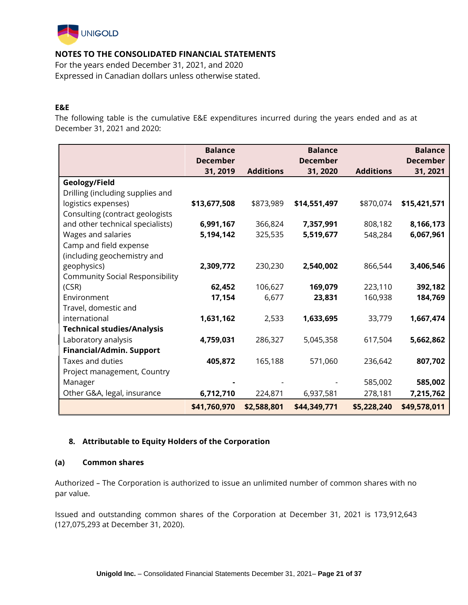

For the years ended December 31, 2021, and 2020 Expressed in Canadian dollars unless otherwise stated.

## **E&E**

The following table is the cumulative E&E expenditures incurred during the years ended and as at December 31, 2021 and 2020:

|                                        | <b>Balance</b><br><b>December</b> |                  | <b>Balance</b><br><b>December</b> |                  | <b>Balance</b><br><b>December</b> |
|----------------------------------------|-----------------------------------|------------------|-----------------------------------|------------------|-----------------------------------|
|                                        | 31, 2019                          | <b>Additions</b> | 31, 2020                          | <b>Additions</b> | 31, 2021                          |
| Geology/Field                          |                                   |                  |                                   |                  |                                   |
| Drilling (including supplies and       |                                   |                  |                                   |                  |                                   |
| logistics expenses)                    | \$13,677,508                      | \$873,989        | \$14,551,497                      | \$870,074        | \$15,421,571                      |
| Consulting (contract geologists        |                                   |                  |                                   |                  |                                   |
| and other technical specialists)       | 6,991,167                         | 366,824          | 7,357,991                         | 808,182          | 8,166,173                         |
| Wages and salaries                     | 5,194,142                         | 325,535          | 5,519,677                         | 548,284          | 6,067,961                         |
| Camp and field expense                 |                                   |                  |                                   |                  |                                   |
| (including geochemistry and            |                                   |                  |                                   |                  |                                   |
| geophysics)                            | 2,309,772                         | 230,230          | 2,540,002                         | 866,544          | 3,406,546                         |
| <b>Community Social Responsibility</b> |                                   |                  |                                   |                  |                                   |
| (CSR)                                  | 62,452                            | 106,627          | 169,079                           | 223,110          | 392,182                           |
| Environment                            | 17,154                            | 6,677            | 23,831                            | 160,938          | 184,769                           |
| Travel, domestic and                   |                                   |                  |                                   |                  |                                   |
| international                          | 1,631,162                         | 2,533            | 1,633,695                         | 33,779           | 1,667,474                         |
| <b>Technical studies/Analysis</b>      |                                   |                  |                                   |                  |                                   |
| Laboratory analysis                    | 4,759,031                         | 286,327          | 5,045,358                         | 617,504          | 5,662,862                         |
| <b>Financial/Admin. Support</b>        |                                   |                  |                                   |                  |                                   |
| Taxes and duties                       | 405,872                           | 165,188          | 571,060                           | 236,642          | 807,702                           |
| Project management, Country            |                                   |                  |                                   |                  |                                   |
| Manager                                |                                   |                  |                                   | 585,002          | 585,002                           |
| Other G&A, legal, insurance            | 6,712,710                         | 224,871          | 6,937,581                         | 278,181          | 7,215,762                         |
|                                        | \$41,760,970                      | \$2,588,801      | \$44,349,771                      | \$5,228,240      | \$49,578,011                      |

## **8. Attributable to Equity Holders of the Corporation**

## **(a) Common shares**

Authorized *–* The Corporation is authorized to issue an unlimited number of common shares with no par value.

Issued and outstanding common shares of the Corporation at December 31, 2021 is 173,912,643 (127,075,293 at December 31, 2020).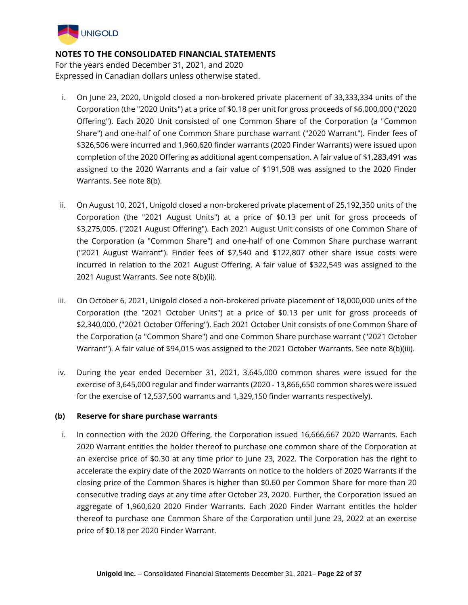

For the years ended December 31, 2021, and 2020 Expressed in Canadian dollars unless otherwise stated.

- i. On June 23, 2020, Unigold closed a non-brokered private placement of 33,333,334 units of the Corporation (the "2020 Units") at a price of \$0.18 per unit for gross proceeds of \$6,000,000 ("2020 Offering"). Each 2020 Unit consisted of one Common Share of the Corporation (a "Common Share") and one-half of one Common Share purchase warrant ("2020 Warrant"). Finder fees of \$326,506 were incurred and 1,960,620 finder warrants (2020 Finder Warrants) were issued upon completion of the 2020 Offering as additional agent compensation. A fair value of \$1,283,491 was assigned to the 2020 Warrants and a fair value of \$191,508 was assigned to the 2020 Finder Warrants. See note 8(b).
- ii. On August 10, 2021, Unigold closed a non-brokered private placement of 25,192,350 units of the Corporation (the "2021 August Units") at a price of \$0.13 per unit for gross proceeds of \$3,275,005. ("2021 August Offering"). Each 2021 August Unit consists of one Common Share of the Corporation (a "Common Share") and one-half of one Common Share purchase warrant ("2021 August Warrant"). Finder fees of \$7,540 and \$122,807 other share issue costs were incurred in relation to the 2021 August Offering. A fair value of \$322,549 was assigned to the 2021 August Warrants. See note 8(b)(ii).
- iii. On October 6, 2021, Unigold closed a non-brokered private placement of 18,000,000 units of the Corporation (the "2021 October Units") at a price of \$0.13 per unit for gross proceeds of \$2,340,000. ("2021 October Offering"). Each 2021 October Unit consists of one Common Share of the Corporation (a "Common Share") and one Common Share purchase warrant ("2021 October Warrant"). A fair value of \$94,015 was assigned to the 2021 October Warrants. See note 8(b)(iii).
- iv. During the year ended December 31, 2021, 3,645,000 common shares were issued for the exercise of 3,645,000 regular and finder warrants (2020 - 13,866,650 common shares were issued for the exercise of 12,537,500 warrants and 1,329,150 finder warrants respectively).

## **(b) Reserve for share purchase warrants**

i. In connection with the 2020 Offering, the Corporation issued 16,666,667 2020 Warrants. Each 2020 Warrant entitles the holder thereof to purchase one common share of the Corporation at an exercise price of \$0.30 at any time prior to June 23, 2022. The Corporation has the right to accelerate the expiry date of the 2020 Warrants on notice to the holders of 2020 Warrants if the closing price of the Common Shares is higher than \$0.60 per Common Share for more than 20 consecutive trading days at any time after October 23, 2020. Further, the Corporation issued an aggregate of 1,960,620 2020 Finder Warrants. Each 2020 Finder Warrant entitles the holder thereof to purchase one Common Share of the Corporation until June 23, 2022 at an exercise price of \$0.18 per 2020 Finder Warrant.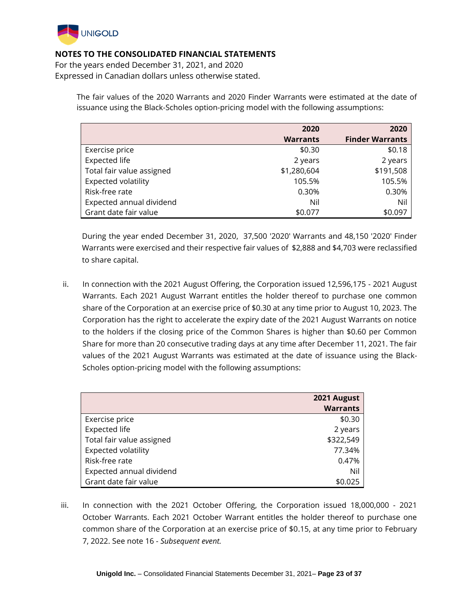

For the years ended December 31, 2021, and 2020 Expressed in Canadian dollars unless otherwise stated.

> The fair values of the 2020 Warrants and 2020 Finder Warrants were estimated at the date of issuance using the Black-Scholes option-pricing model with the following assumptions:

|                           | 2020            | 2020                   |
|---------------------------|-----------------|------------------------|
|                           | <b>Warrants</b> | <b>Finder Warrants</b> |
| Exercise price            | \$0.30          | \$0.18                 |
| <b>Expected life</b>      | 2 years         | 2 years                |
| Total fair value assigned | \$1,280,604     | \$191,508              |
| Expected volatility       | 105.5%          | 105.5%                 |
| Risk-free rate            | 0.30%           | 0.30%                  |
| Expected annual dividend  | Nil             | Nil                    |
| Grant date fair value     | \$0.077         | \$0.097                |

During the year ended December 31, 2020, 37,500 '2020' Warrants and 48,150 '2020' Finder Warrants were exercised and their respective fair values of \$2,888 and \$4,703 were reclassified to share capital.

ii. In connection with the 2021 August Offering, the Corporation issued 12,596,175 - 2021 August Warrants. Each 2021 August Warrant entitles the holder thereof to purchase one common share of the Corporation at an exercise price of \$0.30 at any time prior to August 10, 2023. The Corporation has the right to accelerate the expiry date of the 2021 August Warrants on notice to the holders if the closing price of the Common Shares is higher than \$0.60 per Common Share for more than 20 consecutive trading days at any time after December 11, 2021. The fair values of the 2021 August Warrants was estimated at the date of issuance using the Black-Scholes option-pricing model with the following assumptions:

|                           | 2021 August     |
|---------------------------|-----------------|
|                           | <b>Warrants</b> |
| Exercise price            | \$0.30          |
| <b>Expected life</b>      | 2 years         |
| Total fair value assigned | \$322,549       |
| Expected volatility       | 77.34%          |
| Risk-free rate            | 0.47%           |
| Expected annual dividend  | Nil             |
| Grant date fair value     | \$0.025         |

iii. In connection with the 2021 October Offering, the Corporation issued 18,000,000 - 2021 October Warrants. Each 2021 October Warrant entitles the holder thereof to purchase one common share of the Corporation at an exercise price of \$0.15, at any time prior to February 7, 2022. See note 16 - *Subsequent event.*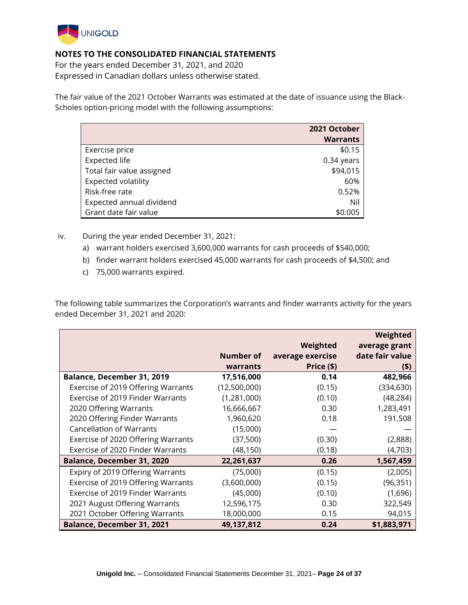

For the years ended December 31, 2021, and 2020 Expressed in Canadian dollars unless otherwise stated.

The fair value of the 2021 October Warrants was estimated at the date of issuance using the Black-Scholes option-pricing model with the following assumptions:

|                           | 2021 October    |
|---------------------------|-----------------|
|                           | <b>Warrants</b> |
| Exercise price            | \$0.15          |
| <b>Expected life</b>      | 0.34 years      |
| Total fair value assigned | \$94,015        |
| Expected volatility       | 60%             |
| Risk-free rate            | 0.52%           |
| Expected annual dividend  | Nil             |
| Grant date fair value     | \$0.005         |

- iv. During the year ended December 31, 2021:
	- a) warrant holders exercised 3,600,000 warrants for cash proceeds of \$540,000;
	- b) finder warrant holders exercised 45,000 warrants for cash proceeds of \$4,500; and
	- c) 75,000 warrants expired.

The following table summarizes the Corporation's warrants and finder warrants activity for the years ended December 31, 2021 and 2020:

|                                         |              |                  | Weighted        |
|-----------------------------------------|--------------|------------------|-----------------|
|                                         |              | Weighted         | average grant   |
|                                         | Number of    | average exercise | date fair value |
|                                         | warrants     | Price (\$)       | (\$)            |
| <b>Balance, December 31, 2019</b>       | 17,516,000   | 0.14             | 482,966         |
| Exercise of 2019 Offering Warrants      | (12,500,000) | (0.15)           | (334, 630)      |
| Exercise of 2019 Finder Warrants        | (1,281,000)  | (0.10)           | (48, 284)       |
| 2020 Offering Warrants                  | 16,666,667   | 0.30             | 1,283,491       |
| 2020 Offering Finder Warrants           | 1,960,620    | 0.18             | 191,508         |
| <b>Cancellation of Warrants</b>         | (15,000)     |                  |                 |
| Exercise of 2020 Offering Warrants      | (37, 500)    | (0.30)           | (2,888)         |
| Exercise of 2020 Finder Warrants        | (48, 150)    | (0.18)           | (4,703)         |
| <b>Balance, December 31, 2020</b>       | 22,261,637   | 0.26             | 1,567,459       |
| Expiry of 2019 Offering Warrants        | (75,000)     | (0.15)           | (2,005)         |
| Exercise of 2019 Offering Warrants      | (3,600,000)  | (0.15)           | (96, 351)       |
| <b>Exercise of 2019 Finder Warrants</b> | (45,000)     | (0.10)           | (1,696)         |
| 2021 August Offering Warrants           | 12,596,175   | 0.30             | 322,549         |
| 2021 October Offering Warrants          | 18,000,000   | 0.15             | 94,015          |
| <b>Balance, December 31, 2021</b>       | 49,137,812   | 0.24             | \$1,883,971     |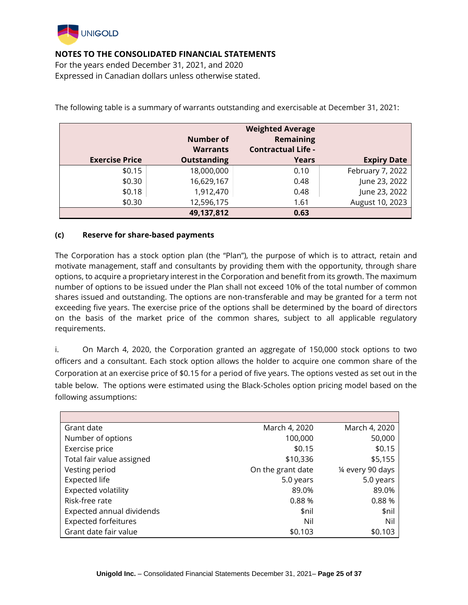

For the years ended December 31, 2021, and 2020 Expressed in Canadian dollars unless otherwise stated.

| <b>Number of</b>      |                    | Remaining                 |                    |
|-----------------------|--------------------|---------------------------|--------------------|
|                       | <b>Warrants</b>    | <b>Contractual Life -</b> |                    |
| <b>Exercise Price</b> | <b>Outstanding</b> | <b>Years</b>              | <b>Expiry Date</b> |
| \$0.15                | 18,000,000         | 0.10                      | February 7, 2022   |
| \$0.30                | 16,629,167         | 0.48                      | June 23, 2022      |
| \$0.18                | 1,912,470          | 0.48                      | June 23, 2022      |
| \$0.30                | 12,596,175         | 1.61                      | August 10, 2023    |
|                       | 49,137,812         | 0.63                      |                    |

The following table is a summary of warrants outstanding and exercisable at December 31, 2021:

#### **(c) Reserve for share-based payments**

The Corporation has a stock option plan (the "Plan"), the purpose of which is to attract, retain and motivate management, staff and consultants by providing them with the opportunity, through share options, to acquire a proprietary interest in the Corporation and benefit from its growth. The maximum number of options to be issued under the Plan shall not exceed 10% of the total number of common shares issued and outstanding. The options are non-transferable and may be granted for a term not exceeding five years. The exercise price of the options shall be determined by the board of directors on the basis of the market price of the common shares, subject to all applicable regulatory requirements.

i. On March 4, 2020, the Corporation granted an aggregate of 150,000 stock options to two officers and a consultant. Each stock option allows the holder to acquire one common share of the Corporation at an exercise price of \$0.15 for a period of five years. The options vested as set out in the table below. The options were estimated using the Black-Scholes option pricing model based on the following assumptions:

| Grant date                  | March 4, 2020     | March 4, 2020     |
|-----------------------------|-------------------|-------------------|
| Number of options           | 100,000           | 50,000            |
| Exercise price              | \$0.15            | \$0.15            |
| Total fair value assigned   | \$10,336          | \$5,155           |
| Vesting period              | On the grant date | 1/4 every 90 days |
| <b>Expected life</b>        | 5.0 years         | 5.0 years         |
| Expected volatility         | 89.0%             | 89.0%             |
| Risk-free rate              | 0.88%             | 0.88%             |
| Expected annual dividends   | \$nil             | \$nil             |
| <b>Expected forfeitures</b> | Nil               | Nil               |
| Grant date fair value       | \$0.103           | \$0.103           |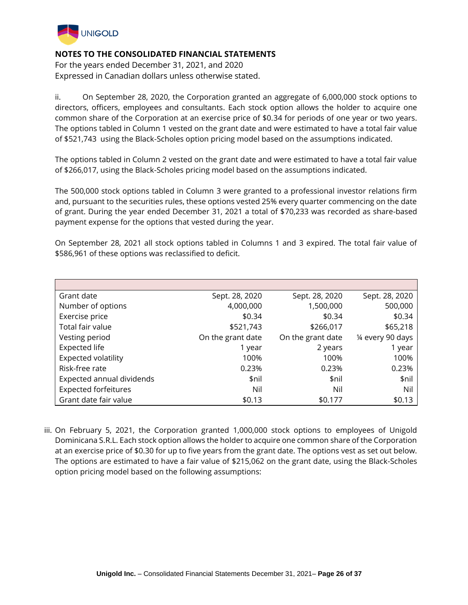

For the years ended December 31, 2021, and 2020 Expressed in Canadian dollars unless otherwise stated.

ii. On September 28, 2020, the Corporation granted an aggregate of 6,000,000 stock options to directors, officers, employees and consultants. Each stock option allows the holder to acquire one common share of the Corporation at an exercise price of \$0.34 for periods of one year or two years. The options tabled in Column 1 vested on the grant date and were estimated to have a total fair value of \$521,743 using the Black-Scholes option pricing model based on the assumptions indicated.

The options tabled in Column 2 vested on the grant date and were estimated to have a total fair value of \$266,017, using the Black-Scholes pricing model based on the assumptions indicated.

The 500,000 stock options tabled in Column 3 were granted to a professional investor relations firm and, pursuant to the securities rules, these options vested 25% every quarter commencing on the date of grant. During the year ended December 31, 2021 a total of \$70,233 was recorded as share-based payment expense for the options that vested during the year.

On September 28, 2021 all stock options tabled in Columns 1 and 3 expired. The total fair value of \$586,961 of these options was reclassified to deficit.

| Grant date                  | Sept. 28, 2020    | Sept. 28, 2020    | Sept. 28, 2020    |
|-----------------------------|-------------------|-------------------|-------------------|
| Number of options           | 4,000,000         | 1,500,000         | 500,000           |
| Exercise price              | \$0.34            | \$0.34            | \$0.34            |
| Total fair value            | \$521,743         | \$266,017         | \$65,218          |
| Vesting period              | On the grant date | On the grant date | 1⁄4 every 90 days |
| <b>Expected life</b>        | 1 year            | 2 years           | 1 year            |
| Expected volatility         | 100%              | 100%              | 100%              |
| Risk-free rate              | 0.23%             | 0.23%             | 0.23%             |
| Expected annual dividends   | \$nil             | \$nil             | \$nil             |
| <b>Expected forfeitures</b> | Nil               | Nil               | Nil               |
| Grant date fair value       | \$0.13            | \$0.177           | \$0.13            |

iii. On February 5, 2021, the Corporation granted 1,000,000 stock options to employees of Unigold Dominicana S.R.L. Each stock option allows the holder to acquire one common share of the Corporation at an exercise price of \$0.30 for up to five years from the grant date. The options vest as set out below. The options are estimated to have a fair value of \$215,062 on the grant date, using the Black-Scholes option pricing model based on the following assumptions: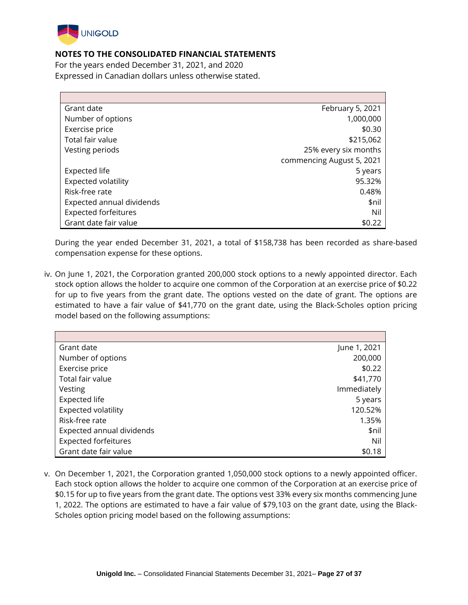

For the years ended December 31, 2021, and 2020 Expressed in Canadian dollars unless otherwise stated.

| Grant date                  | February 5, 2021          |
|-----------------------------|---------------------------|
| Number of options           | 1,000,000                 |
| Exercise price              | \$0.30                    |
| Total fair value            | \$215,062                 |
| Vesting periods             | 25% every six months      |
|                             | commencing August 5, 2021 |
| <b>Expected life</b>        | 5 years                   |
| Expected volatility         | 95.32%                    |
| Risk-free rate              | 0.48%                     |
| Expected annual dividends   | \$nil                     |
| <b>Expected forfeitures</b> | Nil                       |
| Grant date fair value       | \$0.22                    |

During the year ended December 31, 2021, a total of \$158,738 has been recorded as share-based compensation expense for these options.

iv. On June 1, 2021, the Corporation granted 200,000 stock options to a newly appointed director. Each stock option allows the holder to acquire one common of the Corporation at an exercise price of \$0.22 for up to five years from the grant date. The options vested on the date of grant. The options are estimated to have a fair value of \$41,770 on the grant date, using the Black-Scholes option pricing model based on the following assumptions:

| Grant date                  | June 1, 2021 |
|-----------------------------|--------------|
| Number of options           | 200,000      |
| Exercise price              | \$0.22       |
| Total fair value            | \$41,770     |
| Vesting                     | Immediately  |
| <b>Expected life</b>        | 5 years      |
| <b>Expected volatility</b>  | 120.52%      |
| Risk-free rate              | 1.35%        |
| Expected annual dividends   | \$nil        |
| <b>Expected forfeitures</b> | Nil          |
| Grant date fair value       | \$0.18       |

v. On December 1, 2021, the Corporation granted 1,050,000 stock options to a newly appointed officer. Each stock option allows the holder to acquire one common of the Corporation at an exercise price of \$0.15 for up to five years from the grant date. The options vest 33% every six months commencing June 1, 2022. The options are estimated to have a fair value of \$79,103 on the grant date, using the Black-Scholes option pricing model based on the following assumptions: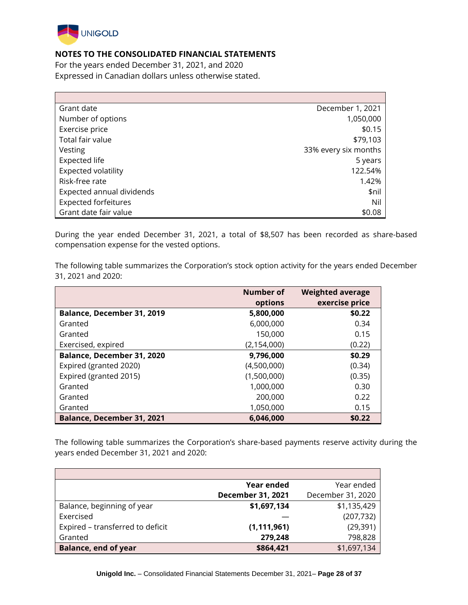

For the years ended December 31, 2021, and 2020 Expressed in Canadian dollars unless otherwise stated.

| Grant date                  | December 1, 2021     |
|-----------------------------|----------------------|
| Number of options           | 1,050,000            |
| Exercise price              | \$0.15               |
| Total fair value            | \$79,103             |
| Vesting                     | 33% every six months |
| <b>Expected life</b>        | 5 years              |
| Expected volatility         | 122.54%              |
| Risk-free rate              | 1.42%                |
| Expected annual dividends   | \$nil                |
| <b>Expected forfeitures</b> | Nil                  |
| Grant date fair value       | \$0.08               |

During the year ended December 31, 2021, a total of \$8,507 has been recorded as share-based compensation expense for the vested options.

The following table summarizes the Corporation's stock option activity for the years ended December 31, 2021 and 2020:

|                                   | Number of     | <b>Weighted average</b> |
|-----------------------------------|---------------|-------------------------|
|                                   | options       | exercise price          |
| Balance, December 31, 2019        | 5,800,000     | \$0.22                  |
| Granted                           | 6,000,000     | 0.34                    |
| Granted                           | 150,000       | 0.15                    |
| Exercised, expired                | (2, 154, 000) | (0.22)                  |
| <b>Balance, December 31, 2020</b> | 9,796,000     | \$0.29                  |
| Expired (granted 2020)            | (4,500,000)   | (0.34)                  |
| Expired (granted 2015)            | (1,500,000)   | (0.35)                  |
| Granted                           | 1,000,000     | 0.30                    |
| Granted                           | 200,000       | 0.22                    |
| Granted                           | 1,050,000     | 0.15                    |
| <b>Balance, December 31, 2021</b> | 6,046,000     | \$0.22                  |

The following table summarizes the Corporation's share-based payments reserve activity during the years ended December 31, 2021 and 2020:

|                                  | Year ended               | Year ended        |
|----------------------------------|--------------------------|-------------------|
|                                  | <b>December 31, 2021</b> | December 31, 2020 |
| Balance, beginning of year       | \$1,697,134              | \$1,135,429       |
| Exercised                        |                          | (207, 732)        |
| Expired - transferred to deficit | (1, 111, 961)            | (29, 391)         |
| Granted                          | 279,248                  | 798,828           |
| <b>Balance, end of year</b>      | \$864,421                | \$1,697,134       |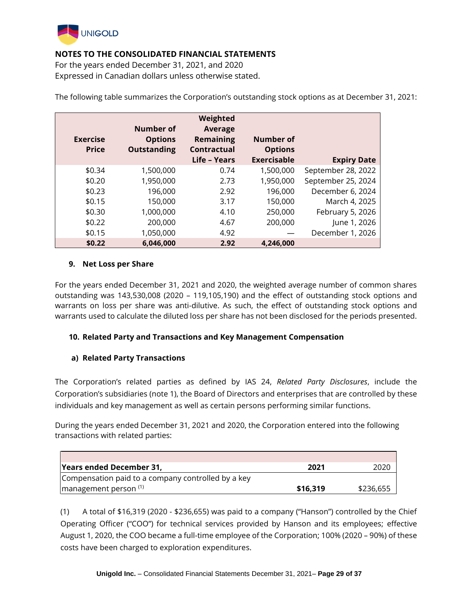

For the years ended December 31, 2021, and 2020 Expressed in Canadian dollars unless otherwise stated.

| <b>Exercise</b><br><b>Price</b> | Number of<br><b>Options</b><br><b>Outstanding</b> | Weighted<br><b>Average</b><br><b>Remaining</b><br><b>Contractual</b><br>Life - Years | <b>Number of</b><br><b>Options</b><br><b>Exercisable</b> | <b>Expiry Date</b> |
|---------------------------------|---------------------------------------------------|--------------------------------------------------------------------------------------|----------------------------------------------------------|--------------------|
| \$0.34                          | 1,500,000                                         | 0.74                                                                                 | 1,500,000                                                | September 28, 2022 |
| \$0.20                          | 1,950,000                                         | 2.73                                                                                 | 1,950,000                                                | September 25, 2024 |
| \$0.23                          | 196,000                                           | 2.92                                                                                 | 196,000                                                  | December 6, 2024   |
| \$0.15                          | 150,000                                           | 3.17                                                                                 | 150,000                                                  | March 4, 2025      |
| \$0.30                          | 1,000,000                                         | 4.10                                                                                 | 250,000                                                  | February 5, 2026   |
| \$0.22                          | 200,000                                           | 4.67                                                                                 | 200,000                                                  | June 1, 2026       |
| \$0.15                          | 1,050,000                                         | 4.92                                                                                 |                                                          | December 1, 2026   |
| \$0.22                          | 6,046,000                                         | 2.92                                                                                 | 4,246,000                                                |                    |

The following table summarizes the Corporation's outstanding stock options as at December 31, 2021:

#### **9. Net Loss per Share**

For the years ended December 31, 2021 and 2020, the weighted average number of common shares outstanding was 143,530,008 (2020 – 119,105,190) and the effect of outstanding stock options and warrants on loss per share was anti-dilutive. As such, the effect of outstanding stock options and warrants used to calculate the diluted loss per share has not been disclosed for the periods presented.

## **10. Related Party and Transactions and Key Management Compensation**

#### **a) Related Party Transactions**

The Corporation's related parties as defined by IAS 24, *Related Party Disclosures*, include the Corporation's subsidiaries (note 1), the Board of Directors and enterprises that are controlled by these individuals and key management as well as certain persons performing similar functions.

During the years ended December 31, 2021 and 2020, the Corporation entered into the following transactions with related parties:

| Years ended December 31,                           | 2021     | 2020      |
|----------------------------------------------------|----------|-----------|
| Compensation paid to a company controlled by a key |          |           |
| management person <sup>(1)</sup>                   | \$16.319 | \$236,655 |

(1) A total of \$16,319 (2020 - \$236,655) was paid to a company ("Hanson") controlled by the Chief Operating Officer ("COO") for technical services provided by Hanson and its employees; effective August 1, 2020, the COO became a full-time employee of the Corporation; 100% (2020 – 90%) of these costs have been charged to exploration expenditures.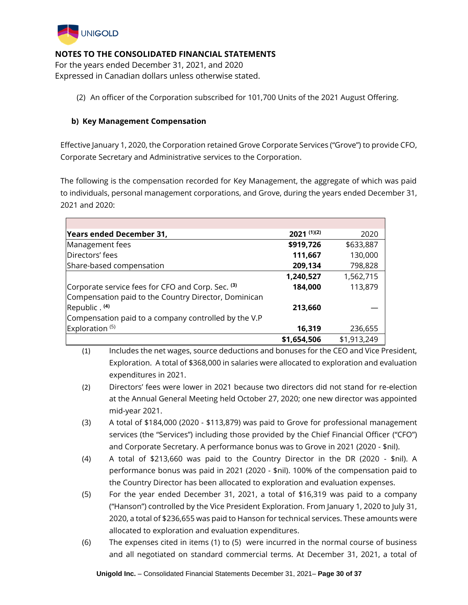

For the years ended December 31, 2021, and 2020 Expressed in Canadian dollars unless otherwise stated.

(2) An officer of the Corporation subscribed for 101,700 Units of the 2021 August Offering.

## **b) Key Management Compensation**

Effective January 1, 2020, the Corporation retained Grove Corporate Services ("Grove") to provide CFO, Corporate Secretary and Administrative services to the Corporation.

The following is the compensation recorded for Key Management, the aggregate of which was paid to individuals, personal management corporations, and Grove, during the years ended December 31, 2021 and 2020:

| Years ended December 31,                                     | $2021$ (1)(2) | 2020        |
|--------------------------------------------------------------|---------------|-------------|
| Management fees                                              | \$919,726     | \$633,887   |
| Directors' fees                                              | 111,667       | 130,000     |
| Share-based compensation                                     | 209,134       | 798,828     |
|                                                              | 1,240,527     | 1,562,715   |
| Corporate service fees for CFO and Corp. Sec. <sup>(3)</sup> | 184,000       | 113,879     |
| Compensation paid to the Country Director, Dominican         |               |             |
| Republic. (4)                                                | 213,660       |             |
| Compensation paid to a company controlled by the V.P         |               |             |
| Exploration <sup>(5)</sup>                                   | 16,319        | 236,655     |
|                                                              | \$1,654,506   | \$1,913,249 |

(1) Includes the net wages, source deductions and bonuses for the CEO and Vice President, Exploration. A total of \$368,000 in salaries were allocated to exploration and evaluation expenditures in 2021.

- (2) Directors' fees were lower in 2021 because two directors did not stand for re-election at the Annual General Meeting held October 27, 2020; one new director was appointed mid-year 2021.
- (3) A total of \$184,000 (2020 \$113,879) was paid to Grove for professional management services (the "Services") including those provided by the Chief Financial Officer ("CFO") and Corporate Secretary. A performance bonus was to Grove in 2021 (2020 - \$nil).
- (4) A total of \$213,660 was paid to the Country Director in the DR (2020 \$nil). A performance bonus was paid in 2021 (2020 - \$nil). 100% of the compensation paid to the Country Director has been allocated to exploration and evaluation expenses.
- (5) For the year ended December 31, 2021, a total of \$16,319 was paid to a company ("Hanson") controlled by the Vice President Exploration. From January 1, 2020 to July 31, 2020, a total of \$236,655 was paid to Hanson for technical services. These amounts were allocated to exploration and evaluation expenditures.
- (6) The expenses cited in items (1) to (5) were incurred in the normal course of business and all negotiated on standard commercial terms. At December 31, 2021, a total of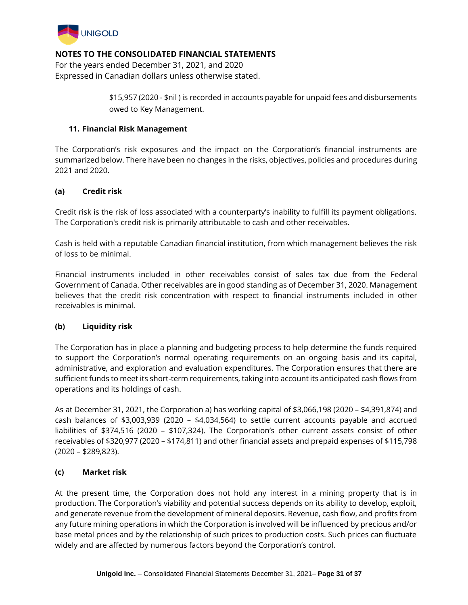

For the years ended December 31, 2021, and 2020 Expressed in Canadian dollars unless otherwise stated.

> \$15,957 (2020 - \$nil ) is recorded in accounts payable for unpaid fees and disbursements owed to Key Management.

#### **11. Financial Risk Management**

The Corporation's risk exposures and the impact on the Corporation's financial instruments are summarized below. There have been no changes in the risks, objectives, policies and procedures during 2021 and 2020.

#### **(a) Credit risk**

Credit risk is the risk of loss associated with a counterparty's inability to fulfill its payment obligations. The Corporation's credit risk is primarily attributable to cash and other receivables.

Cash is held with a reputable Canadian financial institution, from which management believes the risk of loss to be minimal.

Financial instruments included in other receivables consist of sales tax due from the Federal Government of Canada. Other receivables are in good standing as of December 31, 2020. Management believes that the credit risk concentration with respect to financial instruments included in other receivables is minimal.

#### **(b) Liquidity risk**

The Corporation has in place a planning and budgeting process to help determine the funds required to support the Corporation's normal operating requirements on an ongoing basis and its capital, administrative, and exploration and evaluation expenditures. The Corporation ensures that there are sufficient funds to meet its short-term requirements, taking into account its anticipated cash flows from operations and its holdings of cash.

As at December 31, 2021, the Corporation a) has working capital of \$3,066,198 (2020 – \$4,391,874) and cash balances of \$3,003,939 (2020 – \$4,034,564) to settle current accounts payable and accrued liabilities of \$374,516 (2020 – \$107,324). The Corporation's other current assets consist of other receivables of \$320,977 (2020 – \$174,811) and other financial assets and prepaid expenses of \$115,798 (2020 – \$289,823).

#### **(c) Market risk**

At the present time, the Corporation does not hold any interest in a mining property that is in production. The Corporation's viability and potential success depends on its ability to develop, exploit, and generate revenue from the development of mineral deposits. Revenue, cash flow, and profits from any future mining operations in which the Corporation is involved will be influenced by precious and/or base metal prices and by the relationship of such prices to production costs. Such prices can fluctuate widely and are affected by numerous factors beyond the Corporation's control.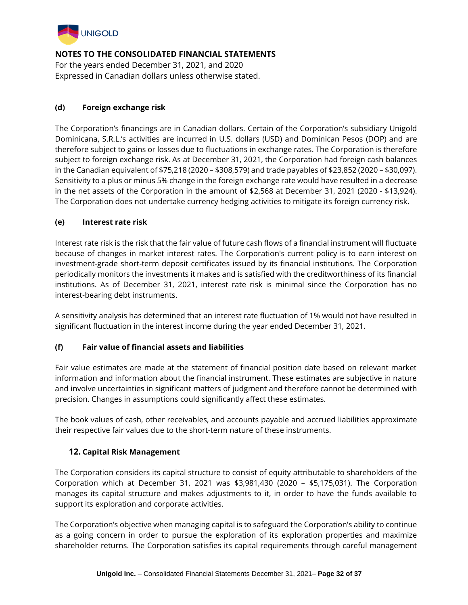

For the years ended December 31, 2021, and 2020 Expressed in Canadian dollars unless otherwise stated.

## **(d) Foreign exchange risk**

The Corporation's financings are in Canadian dollars. Certain of the Corporation's subsidiary Unigold Dominicana, S.R.L.'s activities are incurred in U.S. dollars (USD) and Dominican Pesos (DOP) and are therefore subject to gains or losses due to fluctuations in exchange rates. The Corporation is therefore subject to foreign exchange risk. As at December 31, 2021, the Corporation had foreign cash balances in the Canadian equivalent of \$75,218 (2020 – \$308,579) and trade payables of \$23,852 (2020 – \$30,097). Sensitivity to a plus or minus 5% change in the foreign exchange rate would have resulted in a decrease in the net assets of the Corporation in the amount of \$2,568 at December 31, 2021 (2020 - \$13,924). The Corporation does not undertake currency hedging activities to mitigate its foreign currency risk.

## **(e) Interest rate risk**

Interest rate risk is the risk that the fair value of future cash flows of a financial instrument will fluctuate because of changes in market interest rates. The Corporation's current policy is to earn interest on investment-grade short-term deposit certificates issued by its financial institutions. The Corporation periodically monitors the investments it makes and is satisfied with the creditworthiness of its financial institutions. As of December 31, 2021, interest rate risk is minimal since the Corporation has no interest-bearing debt instruments.

A sensitivity analysis has determined that an interest rate fluctuation of 1% would not have resulted in significant fluctuation in the interest income during the year ended December 31, 2021.

## **(f) Fair value of financial assets and liabilities**

Fair value estimates are made at the statement of financial position date based on relevant market information and information about the financial instrument. These estimates are subjective in nature and involve uncertainties in significant matters of judgment and therefore cannot be determined with precision. Changes in assumptions could significantly affect these estimates.

The book values of cash, other receivables, and accounts payable and accrued liabilities approximate their respective fair values due to the short-term nature of these instruments.

## **12. Capital Risk Management**

The Corporation considers its capital structure to consist of equity attributable to shareholders of the Corporation which at December 31, 2021 was \$3,981,430 (2020 – \$5,175,031). The Corporation manages its capital structure and makes adjustments to it, in order to have the funds available to support its exploration and corporate activities.

The Corporation's objective when managing capital is to safeguard the Corporation's ability to continue as a going concern in order to pursue the exploration of its exploration properties and maximize shareholder returns. The Corporation satisfies its capital requirements through careful management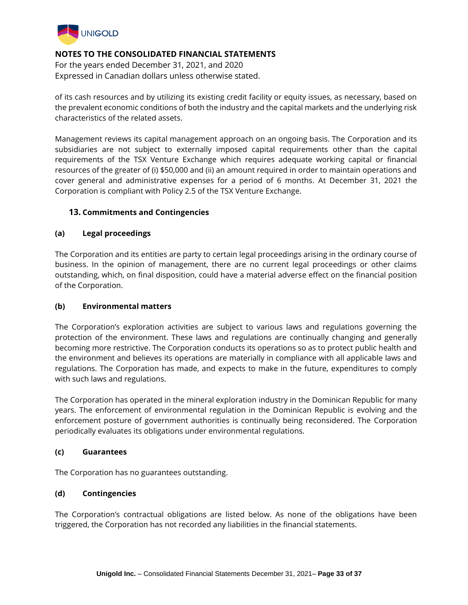

For the years ended December 31, 2021, and 2020 Expressed in Canadian dollars unless otherwise stated.

of its cash resources and by utilizing its existing credit facility or equity issues, as necessary, based on the prevalent economic conditions of both the industry and the capital markets and the underlying risk characteristics of the related assets.

Management reviews its capital management approach on an ongoing basis. The Corporation and its subsidiaries are not subject to externally imposed capital requirements other than the capital requirements of the TSX Venture Exchange which requires adequate working capital or financial resources of the greater of (i) \$50,000 and (ii) an amount required in order to maintain operations and cover general and administrative expenses for a period of 6 months. At December 31, 2021 the Corporation is compliant with Policy 2.5 of the TSX Venture Exchange.

## **13. Commitments and Contingencies**

## **(a) Legal proceedings**

The Corporation and its entities are party to certain legal proceedings arising in the ordinary course of business. In the opinion of management, there are no current legal proceedings or other claims outstanding, which, on final disposition, could have a material adverse effect on the financial position of the Corporation.

## **(b) Environmental matters**

The Corporation's exploration activities are subject to various laws and regulations governing the protection of the environment. These laws and regulations are continually changing and generally becoming more restrictive. The Corporation conducts its operations so as to protect public health and the environment and believes its operations are materially in compliance with all applicable laws and regulations. The Corporation has made, and expects to make in the future, expenditures to comply with such laws and regulations.

The Corporation has operated in the mineral exploration industry in the Dominican Republic for many years. The enforcement of environmental regulation in the Dominican Republic is evolving and the enforcement posture of government authorities is continually being reconsidered. The Corporation periodically evaluates its obligations under environmental regulations.

#### **(c) Guarantees**

The Corporation has no guarantees outstanding.

## **(d) Contingencies**

The Corporation's contractual obligations are listed below. As none of the obligations have been triggered, the Corporation has not recorded any liabilities in the financial statements.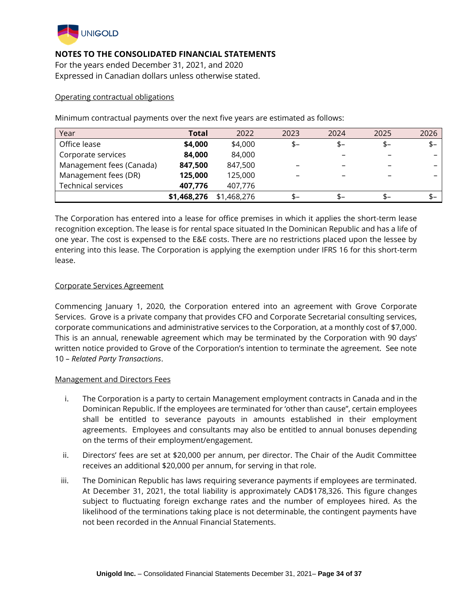

For the years ended December 31, 2021, and 2020 Expressed in Canadian dollars unless otherwise stated.

#### Operating contractual obligations

Minimum contractual payments over the next five years are estimated as follows:

| Year                      | <b>Total</b> | 2022        | 2023 | 2024  | 2025 | 2026                     |
|---------------------------|--------------|-------------|------|-------|------|--------------------------|
| Office lease              | \$4,000      | \$4,000     | $$-$ | $$ -$ | \$-  | $$ -$                    |
| Corporate services        | 84,000       | 84,000      |      |       |      | $\overline{\phantom{0}}$ |
| Management fees (Canada)  | 847,500      | 847,500     |      |       |      |                          |
| Management fees (DR)      | 125,000      | 125,000     |      |       |      |                          |
| <b>Technical services</b> | 407,776      | 407,776     |      |       |      |                          |
|                           | \$1,468,276  | \$1,468,276 | \$-  | $S-$  | \$-  | \$–                      |

The Corporation has entered into a lease for office premises in which it applies the short-term lease recognition exception. The lease is for rental space situated In the Dominican Republic and has a life of one year. The cost is expensed to the E&E costs. There are no restrictions placed upon the lessee by entering into this lease. The Corporation is applying the exemption under IFRS 16 for this short-term lease.

#### Corporate Services Agreement

Commencing January 1, 2020, the Corporation entered into an agreement with Grove Corporate Services. Grove is a private company that provides CFO and Corporate Secretarial consulting services, corporate communications and administrative services to the Corporation, at a monthly cost of \$7,000. This is an annual, renewable agreement which may be terminated by the Corporation with 90 days' written notice provided to Grove of the Corporation's intention to terminate the agreement. See note 10 – *Related Party Transactions*.

#### Management and Directors Fees

- i. The Corporation is a party to certain Management employment contracts in Canada and in the Dominican Republic. If the employees are terminated for 'other than cause", certain employees shall be entitled to severance payouts in amounts established in their employment agreements. Employees and consultants may also be entitled to annual bonuses depending on the terms of their employment/engagement.
- ii. Directors' fees are set at \$20,000 per annum, per director. The Chair of the Audit Committee receives an additional \$20,000 per annum, for serving in that role.
- iii. The Dominican Republic has laws requiring severance payments if employees are terminated. At December 31, 2021, the total liability is approximately CAD\$178,326. This figure changes subject to fluctuating foreign exchange rates and the number of employees hired. As the likelihood of the terminations taking place is not determinable, the contingent payments have not been recorded in the Annual Financial Statements.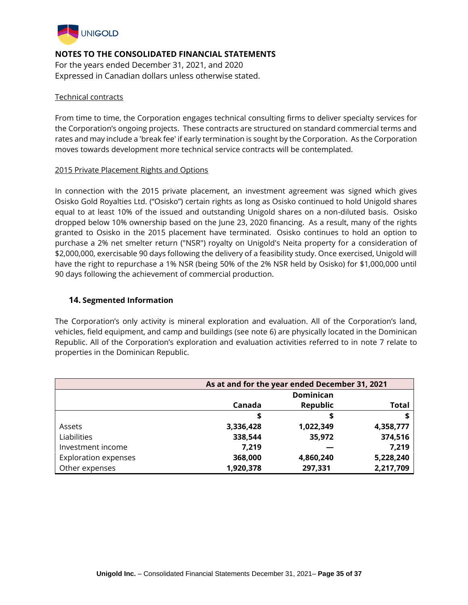

For the years ended December 31, 2021, and 2020 Expressed in Canadian dollars unless otherwise stated.

#### Technical contracts

From time to time, the Corporation engages technical consulting firms to deliver specialty services for the Corporation's ongoing projects. These contracts are structured on standard commercial terms and rates and may include a 'break fee' if early termination is sought by the Corporation. As the Corporation moves towards development more technical service contracts will be contemplated.

#### 2015 Private Placement Rights and Options

In connection with the 2015 private placement, an investment agreement was signed which gives Osisko Gold Royalties Ltd. ("Osisko") certain rights as long as Osisko continued to hold Unigold shares equal to at least 10% of the issued and outstanding Unigold shares on a non-diluted basis. Osisko dropped below 10% ownership based on the June 23, 2020 financing. As a result, many of the rights granted to Osisko in the 2015 placement have terminated. Osisko continues to hold an option to purchase a 2% net smelter return ("NSR") royalty on Unigold's Neita property for a consideration of \$2,000,000, exercisable 90 days following the delivery of a feasibility study. Once exercised, Unigold will have the right to repurchase a 1% NSR (being 50% of the 2% NSR held by Osisko) for \$1,000,000 until 90 days following the achievement of commercial production.

## **14. Segmented Information**

The Corporation's only activity is mineral exploration and evaluation. All of the Corporation's land, vehicles, field equipment, and camp and buildings (see note 6) are physically located in the Dominican Republic. All of the Corporation's exploration and evaluation activities referred to in note 7 relate to properties in the Dominican Republic.

|                             | As at and for the year ended December 31, 2021 |                  |           |
|-----------------------------|------------------------------------------------|------------------|-----------|
|                             |                                                | <b>Dominican</b> |           |
|                             | Canada                                         | <b>Republic</b>  | Total     |
|                             | S                                              |                  |           |
| Assets                      | 3,336,428                                      | 1,022,349        | 4,358,777 |
| Liabilities                 | 338,544                                        | 35,972           | 374,516   |
| Investment income           | 7,219                                          |                  | 7,219     |
| <b>Exploration expenses</b> | 368,000                                        | 4,860,240        | 5,228,240 |
| Other expenses              | 1,920,378                                      | 297,331          | 2,217,709 |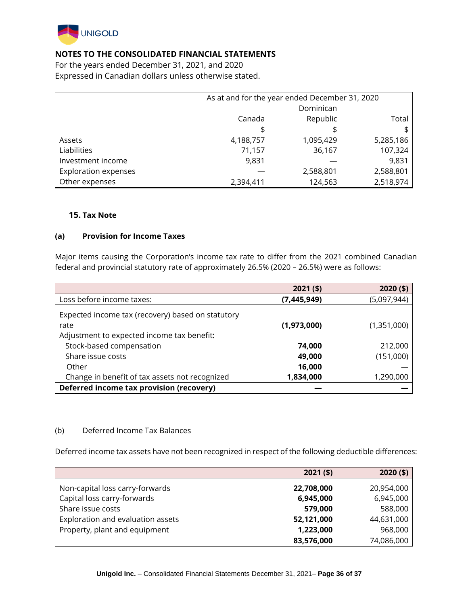

For the years ended December 31, 2021, and 2020 Expressed in Canadian dollars unless otherwise stated.

|                             | As at and for the year ended December 31, 2020 |           |           |
|-----------------------------|------------------------------------------------|-----------|-----------|
|                             |                                                | Dominican |           |
|                             | Canada                                         | Republic  | Total     |
|                             |                                                | \$        |           |
| Assets                      | 4,188,757                                      | 1,095,429 | 5,285,186 |
| Liabilities                 | 71,157                                         | 36,167    | 107,324   |
| Investment income           | 9,831                                          |           | 9,831     |
| <b>Exploration expenses</b> |                                                | 2,588,801 | 2,588,801 |
| Other expenses              | 2,394,411                                      | 124,563   | 2,518,974 |

#### **15. Tax Note**

#### **(a) Provision for Income Taxes**

Major items causing the Corporation's income tax rate to differ from the 2021 combined Canadian federal and provincial statutory rate of approximately 26.5% (2020 – 26.5%) were as follows:

|                                                   | $2021($ \$)   | $2020($ \$) |
|---------------------------------------------------|---------------|-------------|
| Loss before income taxes:                         | (7, 445, 949) | (5,097,944) |
| Expected income tax (recovery) based on statutory |               |             |
| rate                                              | (1,973,000)   | (1,351,000) |
| Adjustment to expected income tax benefit:        |               |             |
| Stock-based compensation                          | 74,000        | 212,000     |
| Share issue costs                                 | 49,000        | (151,000)   |
| Other                                             | 16,000        |             |
| Change in benefit of tax assets not recognized    | 1,834,000     | 1,290,000   |
| Deferred income tax provision (recovery)          |               |             |

#### (b) Deferred Income Tax Balances

Deferred income tax assets have not been recognized in respect of the following deductible differences:

|                                   | $2021($ \$) | $2020($ \$) |
|-----------------------------------|-------------|-------------|
| Non-capital loss carry-forwards   | 22,708,000  | 20,954,000  |
| Capital loss carry-forwards       | 6,945,000   | 6,945,000   |
| Share issue costs                 | 579,000     | 588,000     |
| Exploration and evaluation assets | 52,121,000  | 44,631,000  |
| Property, plant and equipment     | 1,223,000   | 968,000     |
|                                   | 83,576,000  | 74,086,000  |